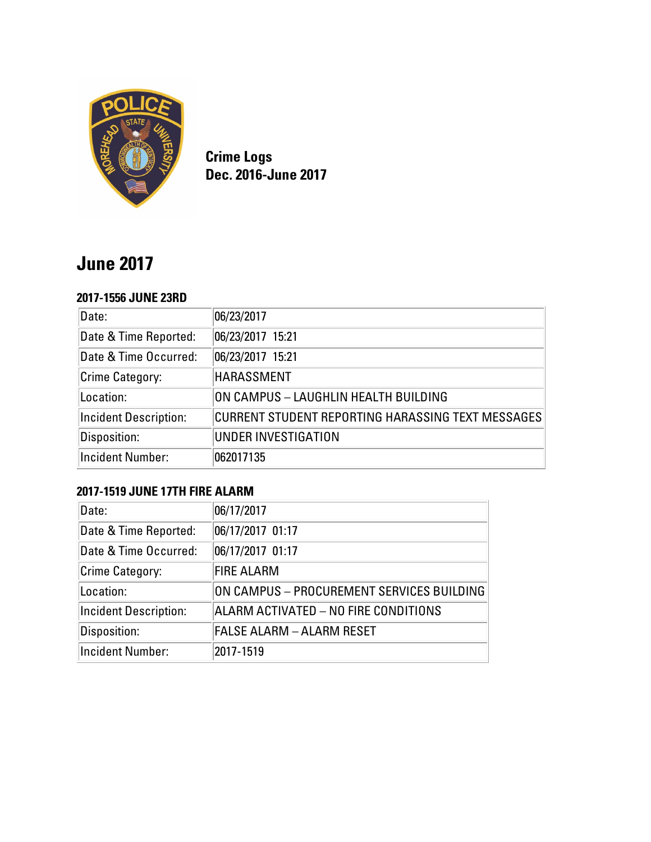

**Crime Logs Dec. 2016-June 2017**

# **June 2017**

#### **2017-1556 JUNE 23RD**

| Date:                        | 06/23/2017                                        |
|------------------------------|---------------------------------------------------|
| Date & Time Reported:        | 06/23/2017 15:21                                  |
| Date & Time Occurred:        | 06/23/2017 15:21                                  |
| Crime Category:              | <b>HARASSMENT</b>                                 |
| Location:                    | ON CAMPUS - LAUGHLIN HEALTH BUILDING              |
| <b>Incident Description:</b> | CURRENT STUDENT REPORTING HARASSING TEXT MESSAGES |
| Disposition:                 | UNDER INVESTIGATION                               |
| <b>Incident Number:</b>      | 062017135                                         |

# **2017-1519 JUNE 17TH FIRE ALARM**

| Date:                        | 06/17/2017                                |
|------------------------------|-------------------------------------------|
| Date & Time Reported:        | 06/17/2017 01:17                          |
| Date & Time Occurred:        | 06/17/2017 01:17                          |
| Crime Category:              | <b>FIRE ALARM</b>                         |
| Location:                    | ON CAMPUS - PROCUREMENT SERVICES BUILDING |
| <b>Incident Description:</b> | ALARM ACTIVATED - NO FIRE CONDITIONS      |
| Disposition:                 | <b>FALSE ALARM - ALARM RESET</b>          |
| <b>Incident Number:</b>      | 2017-1519                                 |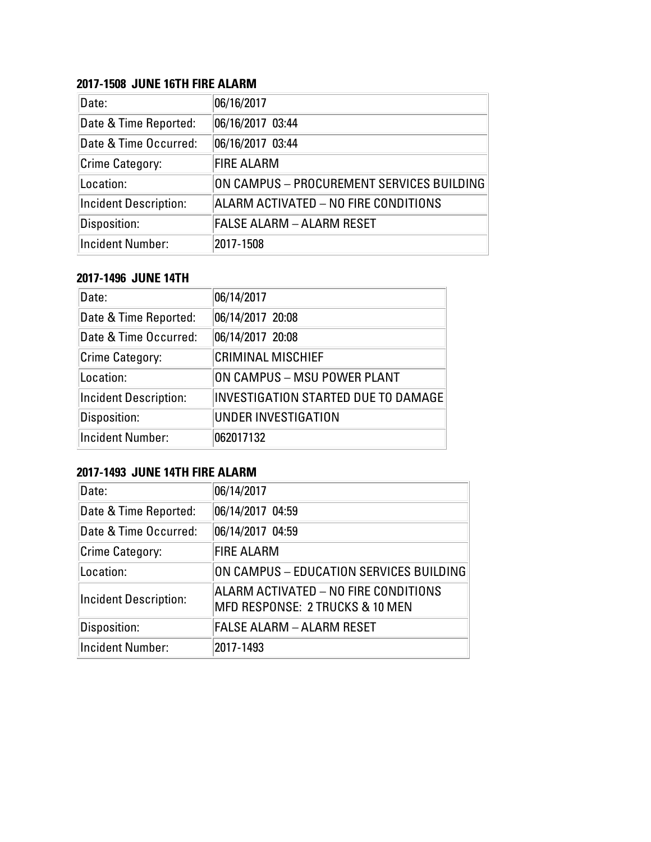# **2017-1508 JUNE 16TH FIRE ALARM**

| Date:                        | 06/16/2017                                |
|------------------------------|-------------------------------------------|
| Date & Time Reported:        | 06/16/2017 03:44                          |
| Date & Time Occurred:        | 06/16/2017 03:44                          |
| Crime Category:              | <b>FIRE ALARM</b>                         |
| Location:                    | ON CAMPUS – PROCUREMENT SERVICES BUILDING |
| <b>Incident Description:</b> | ALARM ACTIVATED - NO FIRE CONDITIONS      |
| Disposition:                 | <b>FALSE ALARM - ALARM RESET</b>          |
| Incident Number:             | 2017-1508                                 |

#### **2017-1496 JUNE 14TH**

| Date:                        | 06/14/2017                                 |
|------------------------------|--------------------------------------------|
| Date & Time Reported:        | 06/14/2017 20:08                           |
| Date & Time Occurred:        | 06/14/2017 20:08                           |
| <b>Crime Category:</b>       | <b>CRIMINAL MISCHIEF</b>                   |
| Location:                    | ON CAMPUS - MSU POWER PLANT                |
| <b>Incident Description:</b> | <b>INVESTIGATION STARTED DUE TO DAMAGE</b> |
| Disposition:                 | <b>UNDER INVESTIGATION</b>                 |
| <b>Incident Number:</b>      | 062017132                                  |

# **2017-1493 JUNE 14TH FIRE ALARM**

| Date:                        | 06/14/2017                                                                         |
|------------------------------|------------------------------------------------------------------------------------|
| Date & Time Reported:        | 06/14/2017 04:59                                                                   |
| Date & Time Occurred:        | 06/14/2017 04:59                                                                   |
| Crime Category:              | <b>FIRE ALARM</b>                                                                  |
| Location:                    | ON CAMPUS - EDUCATION SERVICES BUILDING                                            |
| <b>Incident Description:</b> | ALARM ACTIVATED - NO FIRE CONDITIONS<br><b>MFD RESPONSE: 2 TRUCKS &amp; 10 MEN</b> |
| Disposition:                 | <b>FALSE ALARM - ALARM RESET</b>                                                   |
| <b>Incident Number:</b>      | 2017-1493                                                                          |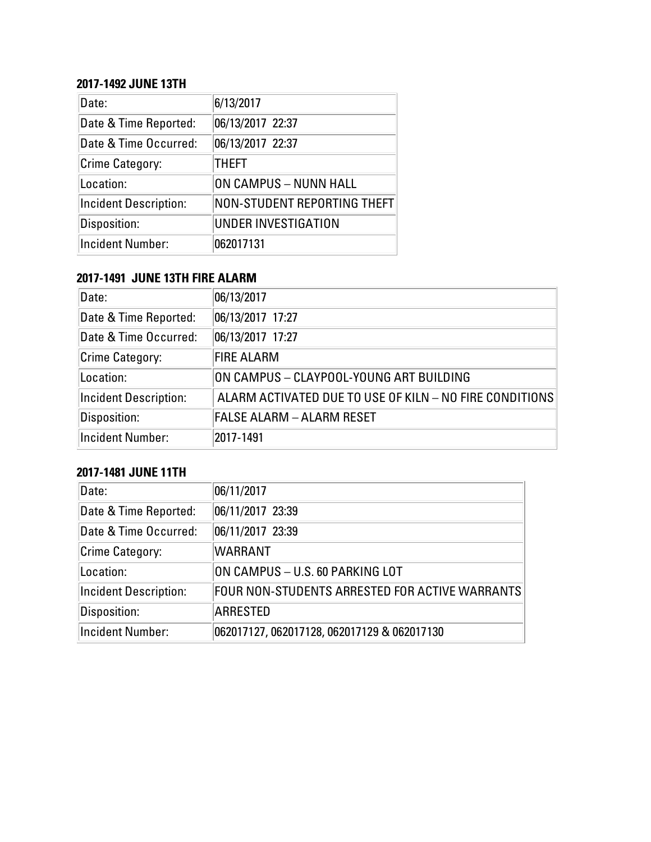#### **2017-1492 JUNE 13TH**

| Date:                        | 6/13/2017                    |
|------------------------------|------------------------------|
| Date & Time Reported:        | 06/13/2017 22:37             |
| Date & Time Occurred:        | 06/13/2017 22:37             |
| Crime Category:              | <b>THEFT</b>                 |
| Location:                    | <b>ON CAMPUS - NUNN HALL</b> |
| <b>Incident Description:</b> | NON-STUDENT REPORTING THEFT  |
| Disposition:                 | <b>UNDER INVESTIGATION</b>   |
| <b>Incident Number:</b>      | 062017131                    |

# **2017-1491 JUNE 13TH FIRE ALARM**

| Date:                        | 06/13/2017                                              |
|------------------------------|---------------------------------------------------------|
| Date & Time Reported:        | 06/13/2017 17:27                                        |
| Date & Time Occurred:        | 06/13/2017 17:27                                        |
| Crime Category:              | <b>FIRE ALARM</b>                                       |
| Location:                    | ON CAMPUS - CLAYPOOL-YOUNG ART BUILDING                 |
| <b>Incident Description:</b> | ALARM ACTIVATED DUE TO USE OF KILN - NO FIRE CONDITIONS |
| Disposition:                 | <b>FALSE ALARM - ALARM RESET</b>                        |
| <b>Incident Number:</b>      | 2017-1491                                               |

# **2017-1481 JUNE 11TH**

| Date:                        | 06/11/2017                                     |
|------------------------------|------------------------------------------------|
| Date & Time Reported:        | 06/11/2017 23:39                               |
| Date & Time Occurred:        | 06/11/2017 23:39                               |
| Crime Category:              | <b>WARRANT</b>                                 |
| Location:                    | ON CAMPUS - U.S. 60 PARKING LOT                |
| <b>Incident Description:</b> | FOUR NON-STUDENTS ARRESTED FOR ACTIVE WARRANTS |
| Disposition:                 | ARRESTED                                       |
| Incident Number:             | 062017127, 062017128, 062017129 & 062017130    |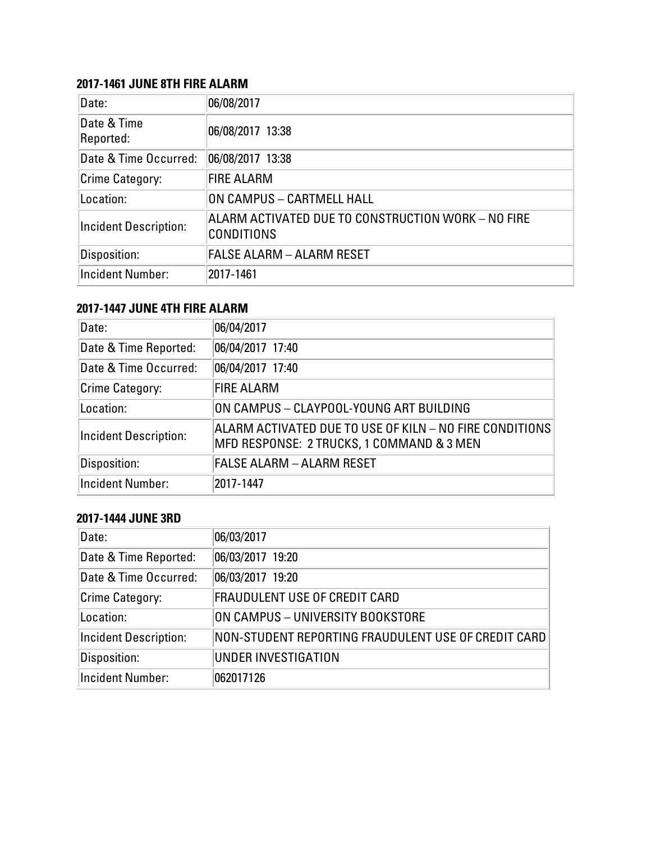## **2017-1461 JUNE 8TH FIRE ALARM**

| Date:                        | 06/08/2017                                                              |
|------------------------------|-------------------------------------------------------------------------|
| Date & Time<br>Reported:     | 06/08/2017 13:38                                                        |
| Date & Time Occurred:        | 06/08/2017 13:38                                                        |
| Crime Category:              | <b>FIRE ALARM</b>                                                       |
| Location:                    | ON CAMPUS - CARTMELL HALL                                               |
| <b>Incident Description:</b> | ALARM ACTIVATED DUE TO CONSTRUCTION WORK – NO FIRE<br><b>CONDITIONS</b> |
| Disposition:                 | <b>FALSE ALARM - ALARM RESET</b>                                        |
| <b>Incident Number:</b>      | 2017-1461                                                               |

# **2017-1447 JUNE 4TH FIRE ALARM**

| Date:                        | 06/04/2017                                                                                           |
|------------------------------|------------------------------------------------------------------------------------------------------|
| Date & Time Reported:        | 06/04/2017 17:40                                                                                     |
| Date & Time Occurred:        | 06/04/2017 17:40                                                                                     |
| Crime Category:              | <b>FIRE ALARM</b>                                                                                    |
| Location:                    | ON CAMPUS - CLAYPOOL-YOUNG ART BUILDING                                                              |
| <b>Incident Description:</b> | ALARM ACTIVATED DUE TO USE OF KILN – NO FIRE CONDITIONS<br>MFD RESPONSE: 2 TRUCKS, 1 COMMAND & 3 MEN |
| Disposition:                 | <b>FALSE ALARM - ALARM RESET</b>                                                                     |
| Incident Number:             | 2017-1447                                                                                            |

## **2017-1444 JUNE 3RD**

| Date:                 | 06/03/2017                                          |
|-----------------------|-----------------------------------------------------|
| Date & Time Reported: | 06/03/2017 19:20                                    |
| Date & Time Occurred: | 06/03/2017 19:20                                    |
| Crime Category:       | <b>FRAUDULENT USE OF CREDIT CARD</b>                |
| Location:             | ON CAMPUS - UNIVERSITY BOOKSTORE                    |
| Incident Description: | NON-STUDENT REPORTING FRAUDULENT USE OF CREDIT CARD |
| Disposition:          | UNDER INVESTIGATION                                 |
| Incident Number:      | 062017126                                           |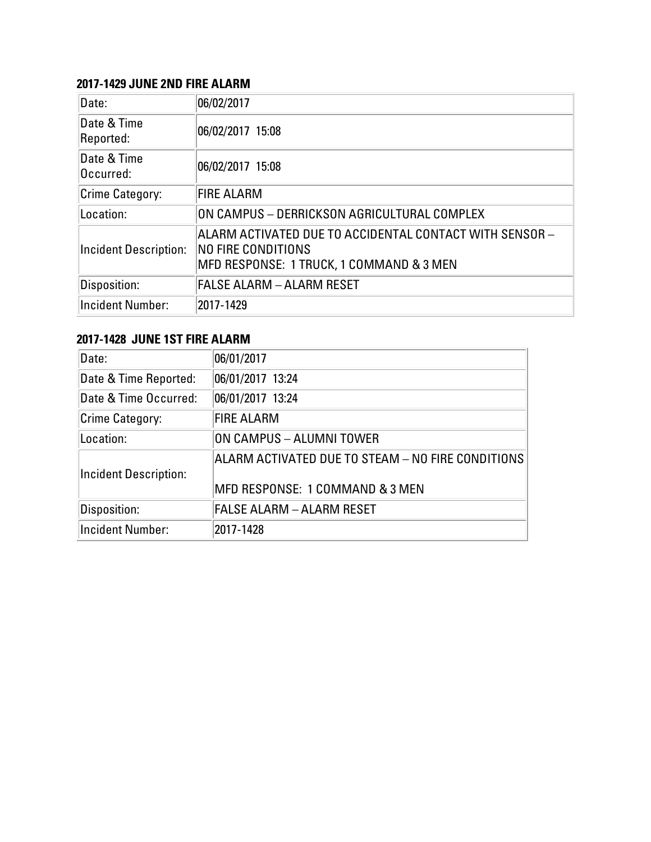#### **2017-1429 JUNE 2ND FIRE ALARM**

| Date:                        | 06/02/2017                                                                                                                |
|------------------------------|---------------------------------------------------------------------------------------------------------------------------|
| Date & Time<br>Reported:     | 06/02/2017 15:08                                                                                                          |
| Date & Time<br>Occurred:     | 06/02/2017 15:08                                                                                                          |
| Crime Category:              | <b>FIRE ALARM</b>                                                                                                         |
| Location:                    | ON CAMPUS - DERRICKSON AGRICULTURAL COMPLEX                                                                               |
| <b>Incident Description:</b> | ALARM ACTIVATED DUE TO ACCIDENTAL CONTACT WITH SENSOR –<br>NO FIRE CONDITIONS<br>MFD RESPONSE: 1 TRUCK, 1 COMMAND & 3 MEN |
| Disposition:                 | <b>FALSE ALARM - ALARM RESET</b>                                                                                          |
| <b>Incident Number:</b>      | 2017-1429                                                                                                                 |

# **2017-1428 JUNE 1ST FIRE ALARM**

| Date:                        | 06/01/2017                                                                           |
|------------------------------|--------------------------------------------------------------------------------------|
| Date & Time Reported:        | 06/01/2017 13:24                                                                     |
| Date & Time Occurred:        | 06/01/2017 13:24                                                                     |
| <b>Crime Category:</b>       | <b>FIRE ALARM</b>                                                                    |
| Location:                    | ON CAMPUS - ALUMNI TOWER                                                             |
| <b>Incident Description:</b> | ALARM ACTIVATED DUE TO STEAM - NO FIRE CONDITIONS<br>MFD RESPONSE: 1 COMMAND & 3 MEN |
| Disposition:                 | <b>FALSE ALARM - ALARM RESET</b>                                                     |
| <b>Incident Number:</b>      | 2017-1428                                                                            |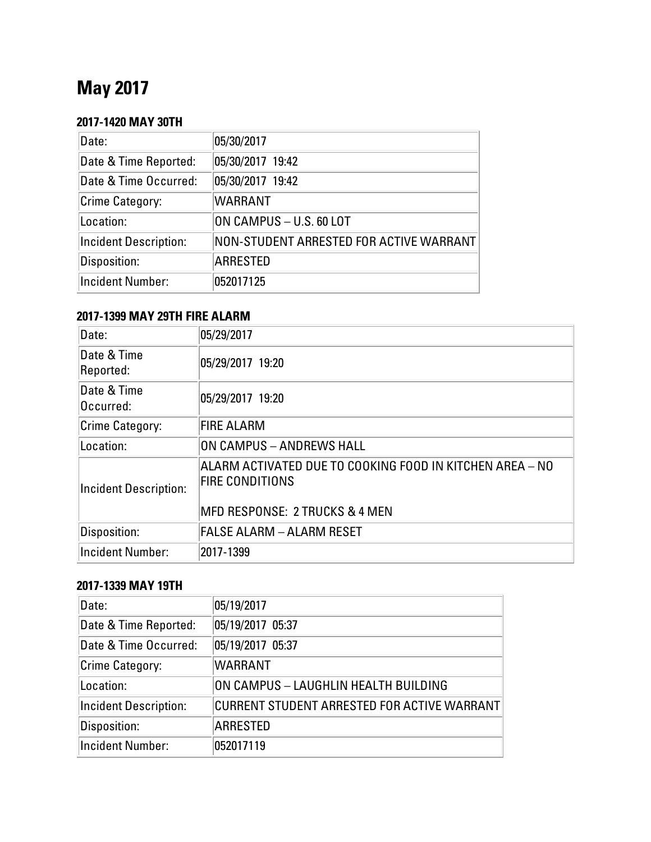# **May 2017**

# **2017-1420 MAY 30TH**

| Date:                        | 05/30/2017                              |
|------------------------------|-----------------------------------------|
| Date & Time Reported:        | 05/30/2017 19:42                        |
| Date & Time Occurred:        | 05/30/2017 19:42                        |
| Crime Category:              | <b>WARRANT</b>                          |
| Location:                    | ON CAMPUS - U.S. 60 LOT                 |
| <b>Incident Description:</b> | NON-STUDENT ARRESTED FOR ACTIVE WARRANT |
| Disposition:                 | <b>ARRESTED</b>                         |
| <b>Incident Number:</b>      | 052017125                               |

#### **2017-1399 MAY 29TH FIRE ALARM**

| Date:                        | 05/29/2017                                                                                                           |
|------------------------------|----------------------------------------------------------------------------------------------------------------------|
| Date & Time<br>Reported:     | 05/29/2017 19:20                                                                                                     |
| Date & Time<br>Occurred:     | 05/29/2017 19:20                                                                                                     |
| Crime Category:              | <b>FIRE ALARM</b>                                                                                                    |
| Location:                    | ON CAMPUS - ANDREWS HALL                                                                                             |
| <b>Incident Description:</b> | ALARM ACTIVATED DUE TO COOKING FOOD IN KITCHEN AREA – NO<br><b>FIRE CONDITIONS</b><br>MFD RESPONSE: 2 TRUCKS & 4 MEN |
| Disposition:                 | FALSE ALARM – ALARM RESET                                                                                            |
| <b>Incident Number:</b>      | 2017-1399                                                                                                            |

# **2017-1339 MAY 19TH**

| Date:                        | 05/19/2017                                  |
|------------------------------|---------------------------------------------|
| Date & Time Reported:        | 05/19/2017 05:37                            |
| Date & Time Occurred:        | 05/19/2017 05:37                            |
| Crime Category:              | <b>WARRANT</b>                              |
| Location:                    | ON CAMPUS – LAUGHLIN HEALTH BUILDING        |
| <b>Incident Description:</b> | CURRENT STUDENT ARRESTED FOR ACTIVE WARRANT |
| Disposition:                 | <b>ARRESTED</b>                             |
| <b>Incident Number:</b>      | 052017119                                   |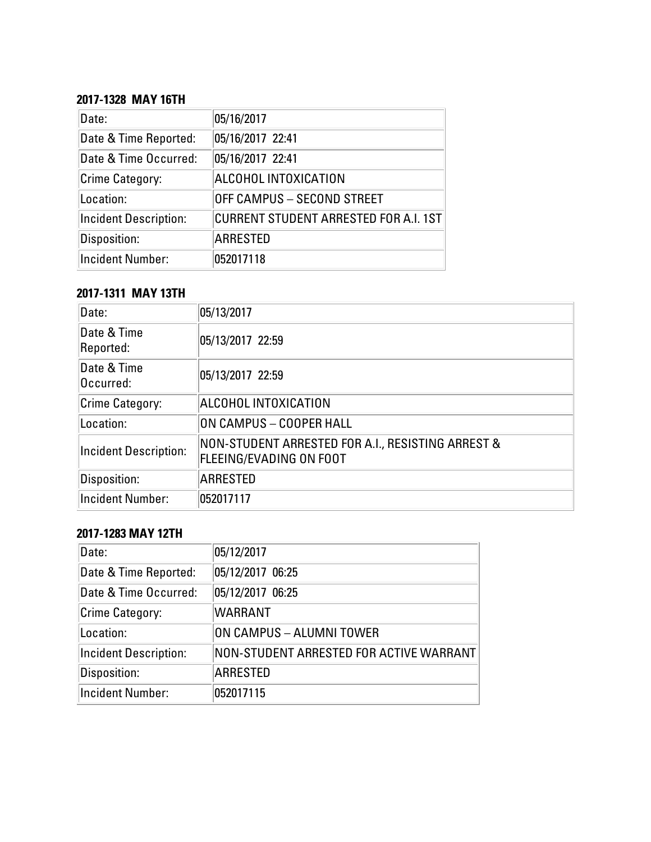## **2017-1328 MAY 16TH**

| Date:                        | 05/16/2017                                   |
|------------------------------|----------------------------------------------|
| Date & Time Reported:        | 05/16/2017 22:41                             |
| Date & Time Occurred:        | 05/16/2017 22:41                             |
| Crime Category:              | ALCOHOL INTOXICATION                         |
| Location:                    | OFF CAMPUS - SECOND STREET                   |
| <b>Incident Description:</b> | <b>CURRENT STUDENT ARRESTED FOR A.I. 1ST</b> |
| Disposition:                 | <b>ARRESTED</b>                              |
| <b>Incident Number:</b>      | 052017118                                    |

#### **2017-1311 MAY 13TH**

| Date:                        | 05/13/2017                                                                   |
|------------------------------|------------------------------------------------------------------------------|
| Date & Time<br>Reported:     | 05/13/2017 22:59                                                             |
| Date & Time<br>Occurred:     | 05/13/2017 22:59                                                             |
| <b>Crime Category:</b>       | ALCOHOL INTOXICATION                                                         |
| Location:                    | ON CAMPUS - COOPER HALL                                                      |
| <b>Incident Description:</b> | NON-STUDENT ARRESTED FOR A.I., RESISTING ARREST &<br>FLEEING/EVADING ON FOOT |
| Disposition:                 | <b>ARRESTED</b>                                                              |
| <b>Incident Number:</b>      | 052017117                                                                    |

# **2017-1283 MAY 12TH**

| Date:                        | 05/12/2017                              |
|------------------------------|-----------------------------------------|
| Date & Time Reported:        | 05/12/2017 06:25                        |
| Date & Time Occurred:        | 05/12/2017 06:25                        |
| Crime Category:              | <b>WARRANT</b>                          |
| Location:                    | ON CAMPUS - ALUMNI TOWER                |
| <b>Incident Description:</b> | NON-STUDENT ARRESTED FOR ACTIVE WARRANT |
| Disposition:                 | <b>ARRESTED</b>                         |
| Incident Number:             | 052017115                               |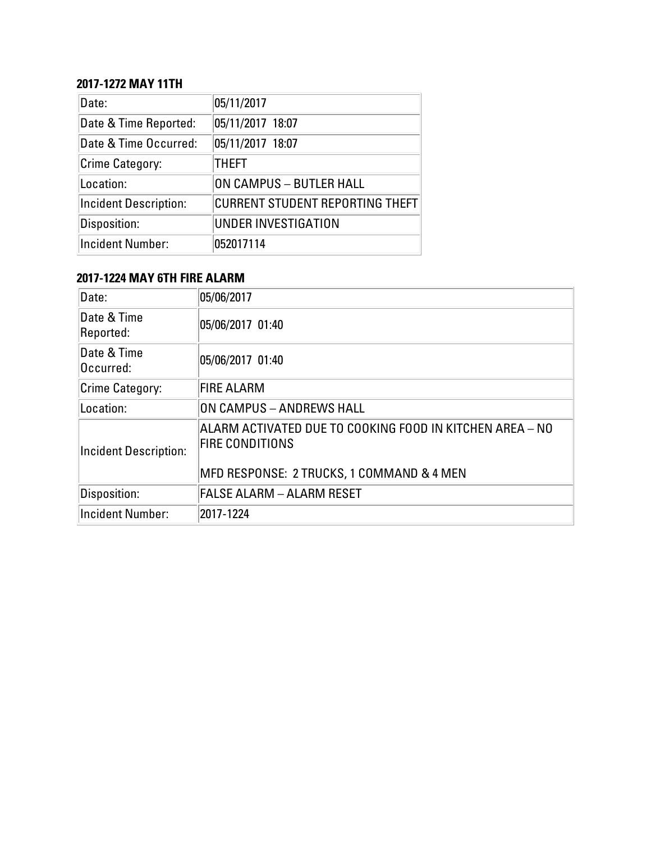# **2017-1272 MAY 11TH**

| Date:                        | 05/11/2017                             |
|------------------------------|----------------------------------------|
| Date & Time Reported:        | 05/11/2017 18:07                       |
| Date & Time Occurred:        | 05/11/2017 18:07                       |
| <b>Crime Category:</b>       | <b>THEFT</b>                           |
| Location:                    | ON CAMPUS - BUTLER HALL                |
| <b>Incident Description:</b> | <b>CURRENT STUDENT REPORTING THEFT</b> |
| Disposition:                 | UNDER INVESTIGATION                    |
| <b>Incident Number:</b>      | 052017114                              |

# **2017-1224 MAY 6TH FIRE ALARM**

| Date:                        | 05/06/2017                                                                         |
|------------------------------|------------------------------------------------------------------------------------|
| Date & Time<br>Reported:     | 05/06/2017 01:40                                                                   |
| Date & Time<br>Occurred:     | 05/06/2017 01:40                                                                   |
| Crime Category:              | <b>FIRE ALARM</b>                                                                  |
| Location:                    | ON CAMPUS - ANDREWS HALL                                                           |
| <b>Incident Description:</b> | ALARM ACTIVATED DUE TO COOKING FOOD IN KITCHEN AREA - NO<br><b>FIRE CONDITIONS</b> |
|                              | MFD RESPONSE: 2 TRUCKS, 1 COMMAND & 4 MEN                                          |
| Disposition:                 | <b>FALSE ALARM - ALARM RESET</b>                                                   |
| <b>Incident Number:</b>      | 2017-1224                                                                          |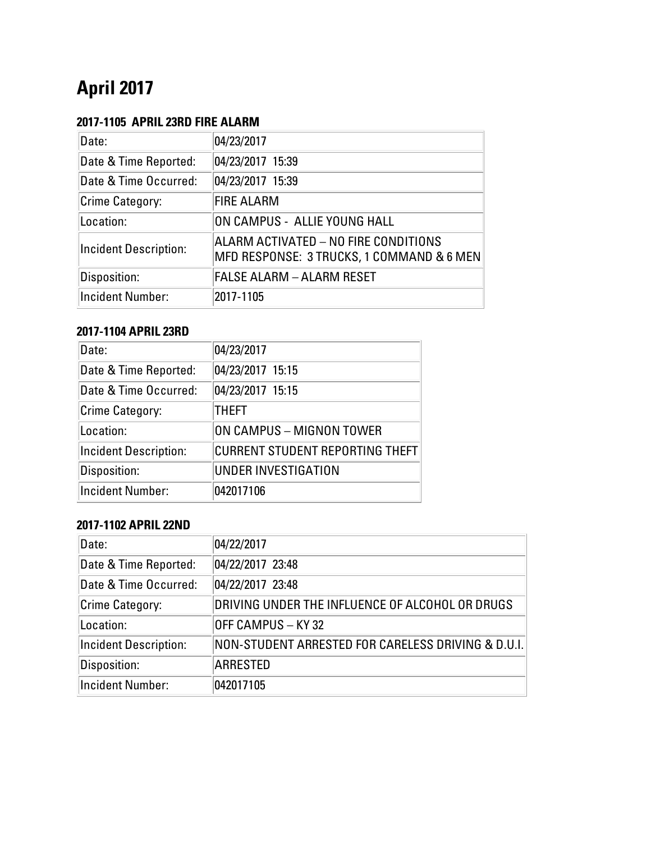# **April 2017**

# **2017-1105 APRIL 23RD FIRE ALARM**

| Date:                        | 04/23/2017                                                                        |
|------------------------------|-----------------------------------------------------------------------------------|
| Date & Time Reported:        | 04/23/2017 15:39                                                                  |
| Date & Time Occurred:        | 04/23/2017 15:39                                                                  |
| Crime Category:              | <b>FIRE ALARM</b>                                                                 |
| Location:                    | ON CAMPUS - ALLIE YOUNG HALL                                                      |
| <b>Incident Description:</b> | ALARM ACTIVATED – NO FIRE CONDITIONS<br>MFD RESPONSE: 3 TRUCKS, 1 COMMAND & 6 MEN |
| Disposition:                 | <b>FALSE ALARM - ALARM RESET</b>                                                  |
| <b>Incident Number:</b>      | 2017-1105                                                                         |

### **2017-1104 APRIL 23RD**

| Date:                        | 04/23/2017                             |
|------------------------------|----------------------------------------|
| Date & Time Reported:        | 04/23/2017 15:15                       |
| Date & Time Occurred:        | 04/23/2017 15:15                       |
| Crime Category:              | <b>THEFT</b>                           |
| Location:                    | ON CAMPUS - MIGNON TOWER               |
| <b>Incident Description:</b> | <b>CURRENT STUDENT REPORTING THEFT</b> |
| Disposition:                 | <b>UNDER INVESTIGATION</b>             |
| <b>Incident Number:</b>      | 042017106                              |

# **2017-1102 APRIL 22ND**

| Date:                        | 04/22/2017                                         |
|------------------------------|----------------------------------------------------|
| Date & Time Reported:        | 04/22/2017 23:48                                   |
| Date & Time Occurred:        | 04/22/2017 23:48                                   |
| <b>Crime Category:</b>       | DRIVING UNDER THE INFLUENCE OF ALCOHOL OR DRUGS    |
| Location:                    | OFF CAMPUS - KY 32                                 |
| <b>Incident Description:</b> | NON-STUDENT ARRESTED FOR CARELESS DRIVING & D.U.I. |
| Disposition:                 | <b>ARRESTED</b>                                    |
| <b>Incident Number:</b>      | 042017105                                          |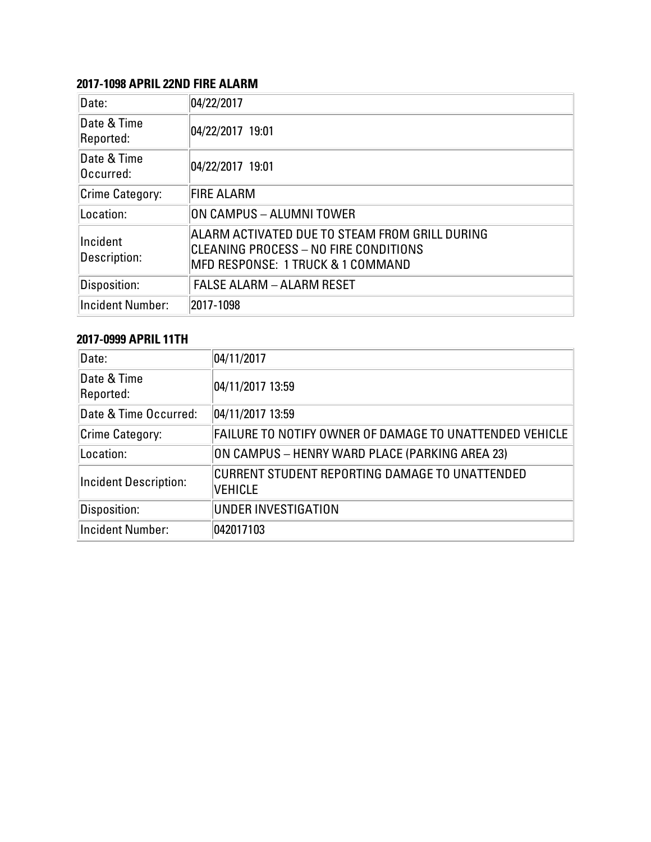#### **2017-1098 APRIL 22ND FIRE ALARM**

| Date:                    | 04/22/2017                                                                                                                   |
|--------------------------|------------------------------------------------------------------------------------------------------------------------------|
| Date & Time<br>Reported: | 04/22/2017 19:01                                                                                                             |
| Date & Time<br>Occurred: | 04/22/2017 19:01                                                                                                             |
| Crime Category:          | <b>FIRE ALARM</b>                                                                                                            |
| Location:                | ON CAMPUS - ALUMNI TOWER                                                                                                     |
| Incident<br>Description: | ALARM ACTIVATED DUE TO STEAM FROM GRILL DURING<br>CLEANING PROCESS – NO FIRE CONDITIONS<br>MFD RESPONSE: 1 TRUCK & 1 COMMAND |
| Disposition:             | <b>FALSE ALARM - ALARM RESET</b>                                                                                             |
| <b>Incident Number:</b>  | 2017-1098                                                                                                                    |

## **2017-0999 APRIL 11TH**

| Date:                        | 04/11/2017                                                              |
|------------------------------|-------------------------------------------------------------------------|
| Date & Time<br>Reported:     | 04/11/2017 13:59                                                        |
| Date & Time Occurred:        | 04/11/2017 13:59                                                        |
| Crime Category:              | FAILURE TO NOTIFY OWNER OF DAMAGE TO UNATTENDED VEHICLE                 |
| Location:                    | ON CAMPUS - HENRY WARD PLACE (PARKING AREA 23)                          |
| <b>Incident Description:</b> | <b>CURRENT STUDENT REPORTING DAMAGE TO UNATTENDED</b><br><b>VEHICLE</b> |
| Disposition:                 | <b>UNDER INVESTIGATION</b>                                              |
| <b>Incident Number:</b>      | 042017103                                                               |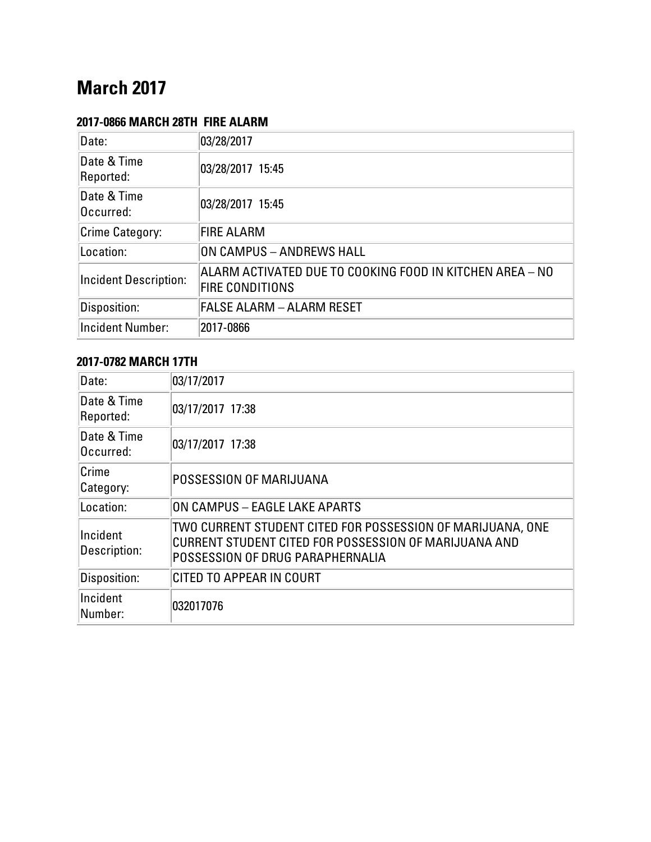# **March 2017**

# **2017-0866 MARCH 28TH FIRE ALARM**

| Date:                        | 03/28/2017                                                                         |
|------------------------------|------------------------------------------------------------------------------------|
| Date & Time<br>Reported:     | 03/28/2017 15:45                                                                   |
| Date & Time<br>Occurred:     | 03/28/2017 15:45                                                                   |
| Crime Category:              | <b>FIRE ALARM</b>                                                                  |
| Location:                    | ON CAMPUS - ANDREWS HALL                                                           |
| <b>Incident Description:</b> | ALARM ACTIVATED DUE TO COOKING FOOD IN KITCHEN AREA – NO<br><b>FIRE CONDITIONS</b> |
| Disposition:                 | <b>FALSE ALARM - ALARM RESET</b>                                                   |
| <b>Incident Number:</b>      | 2017-0866                                                                          |

#### **2017-0782 MARCH 17TH**

| Date:                    | 03/17/2017                                                                                                                                              |
|--------------------------|---------------------------------------------------------------------------------------------------------------------------------------------------------|
| Date & Time<br>Reported: | 03/17/2017 17:38                                                                                                                                        |
| Date & Time<br>Occurred: | 03/17/2017 17:38                                                                                                                                        |
| Crime<br>Category:       | <b>POSSESSION OF MARIJUANA</b>                                                                                                                          |
| Location:                | ON CAMPUS - EAGLE LAKE APARTS                                                                                                                           |
| Incident<br>Description: | TWO CURRENT STUDENT CITED FOR POSSESSION OF MARIJUANA, ONE<br>CURRENT STUDENT CITED FOR POSSESSION OF MARIJUANA AND<br>POSSESSION OF DRUG PARAPHERNALIA |
| Disposition:             | CITED TO APPEAR IN COURT                                                                                                                                |
| Incident<br>Number:      | 032017076                                                                                                                                               |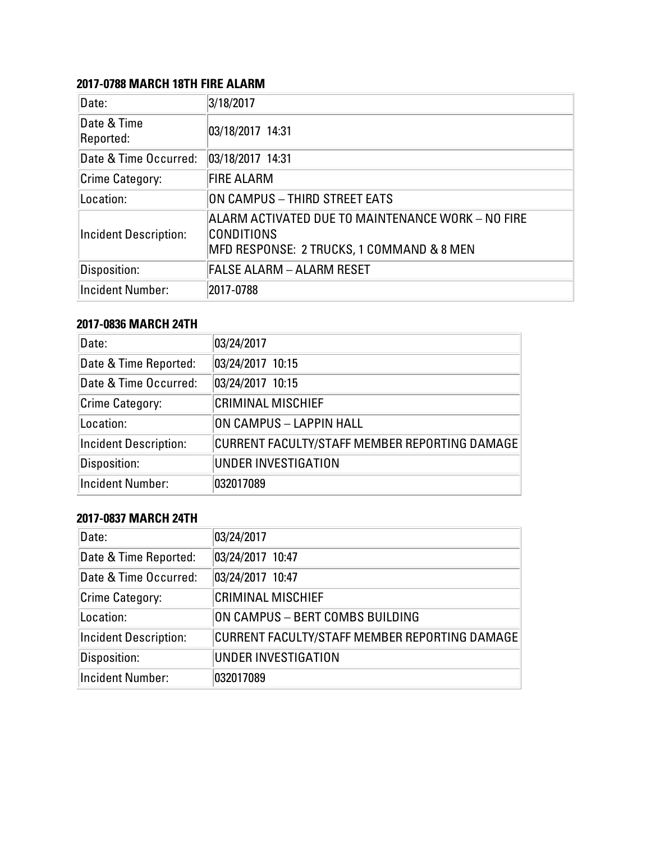## **2017-0788 MARCH 18TH FIRE ALARM**

| Date:                        | 3/18/2017                                                                                                    |
|------------------------------|--------------------------------------------------------------------------------------------------------------|
| Date & Time<br>Reported:     | 03/18/2017 14:31                                                                                             |
| Date & Time Occurred:        | 03/18/2017 14:31                                                                                             |
| <b>Crime Category:</b>       | <b>FIRE ALARM</b>                                                                                            |
| Location:                    | ON CAMPUS - THIRD STREET EATS                                                                                |
| <b>Incident Description:</b> | ALARM ACTIVATED DUE TO MAINTENANCE WORK – NO FIRE<br>CONDITIONS<br>MFD RESPONSE: 2 TRUCKS, 1 COMMAND & 8 MEN |
| Disposition:                 | <b>FALSE ALARM - ALARM RESET</b>                                                                             |
| <b>Incident Number:</b>      | 2017-0788                                                                                                    |

# **2017-0836 MARCH 24TH**

| Date:                        | 03/24/2017                                    |
|------------------------------|-----------------------------------------------|
| Date & Time Reported:        | 03/24/2017 10:15                              |
| Date & Time Occurred:        | 03/24/2017 10:15                              |
| <b>Crime Category:</b>       | <b>CRIMINAL MISCHIEF</b>                      |
| Location:                    | ON CAMPUS - LAPPIN HALL                       |
| <b>Incident Description:</b> | CURRENT FACULTY/STAFF MEMBER REPORTING DAMAGE |
| Disposition:                 | UNDER INVESTIGATION                           |
| <b>Incident Number:</b>      | 032017089                                     |

## **2017-0837 MARCH 24TH**

| Date:                        | 03/24/2017                                    |
|------------------------------|-----------------------------------------------|
| Date & Time Reported:        | 03/24/2017 10:47                              |
| Date & Time Occurred:        | 03/24/2017 10:47                              |
| <b>Crime Category:</b>       | <b>CRIMINAL MISCHIEF</b>                      |
| Location:                    | ON CAMPUS - BERT COMBS BUILDING               |
| <b>Incident Description:</b> | CURRENT FACULTY/STAFF MEMBER REPORTING DAMAGE |
| Disposition:                 | UNDER INVESTIGATION                           |
| <b>Incident Number:</b>      | 032017089                                     |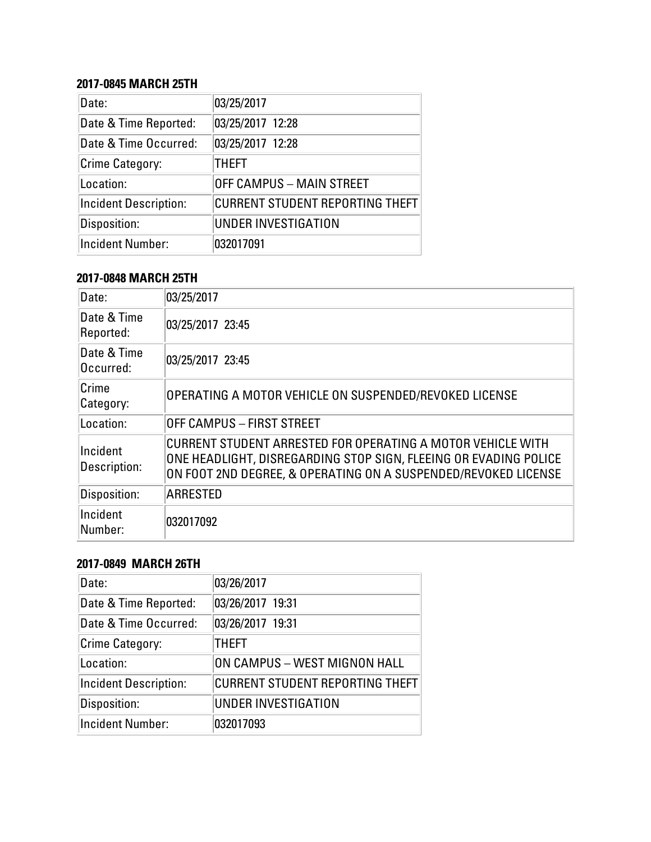### **2017-0845 MARCH 25TH**

| Date:                        | 03/25/2017                             |
|------------------------------|----------------------------------------|
| Date & Time Reported:        | 03/25/2017 12:28                       |
| Date & Time Occurred:        | 03/25/2017 12:28                       |
| <b>Crime Category:</b>       | <b>THEFT</b>                           |
| Location:                    | <b>OFF CAMPUS - MAIN STREET</b>        |
| <b>Incident Description:</b> | <b>CURRENT STUDENT REPORTING THEFT</b> |
| Disposition:                 | <b>UNDER INVESTIGATION</b>             |
| <b>Incident Number:</b>      | 032017091                              |

#### **2017-0848 MARCH 25TH**

| Date:                    | 03/25/2017                                                                                                                                                                                        |
|--------------------------|---------------------------------------------------------------------------------------------------------------------------------------------------------------------------------------------------|
| Date & Time<br>Reported: | 03/25/2017 23:45                                                                                                                                                                                  |
| Date & Time<br>Occurred: | 03/25/2017 23:45                                                                                                                                                                                  |
| Crime<br>Category:       | OPERATING A MOTOR VEHICLE ON SUSPENDED/REVOKED LICENSE                                                                                                                                            |
| Location:                | OFF CAMPUS – FIRST STREET                                                                                                                                                                         |
| Incident<br>Description: | CURRENT STUDENT ARRESTED FOR OPERATING A MOTOR VEHICLE WITH<br>ONE HEADLIGHT, DISREGARDING STOP SIGN, FLEEING OR EVADING POLICE<br>ON FOOT 2ND DEGREE, & OPERATING ON A SUSPENDED/REVOKED LICENSE |
| Disposition:             | ARRESTED                                                                                                                                                                                          |
| Incident<br>Number:      | 032017092                                                                                                                                                                                         |

#### **2017-0849 MARCH 26TH**

| Date:                        | 03/26/2017                             |
|------------------------------|----------------------------------------|
| Date & Time Reported:        | 03/26/2017 19:31                       |
| Date & Time Occurred:        | 03/26/2017 19:31                       |
| Crime Category:              | <b>THEFT</b>                           |
| Location:                    | ON CAMPUS - WEST MIGNON HALL           |
| <b>Incident Description:</b> | <b>CURRENT STUDENT REPORTING THEFT</b> |
| Disposition:                 | UNDER INVESTIGATION                    |
| <b>Incident Number:</b>      | 032017093                              |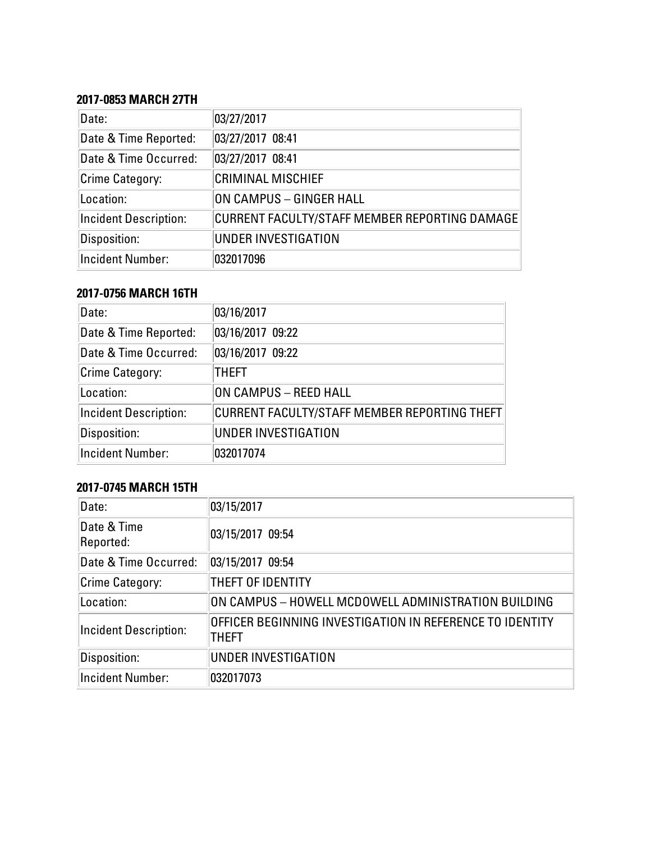#### **2017-0853 MARCH 27TH**

| Date:                        | 03/27/2017                                    |
|------------------------------|-----------------------------------------------|
| Date & Time Reported:        | 03/27/2017 08:41                              |
| Date & Time Occurred:        | 03/27/2017 08:41                              |
| <b>Crime Category:</b>       | <b>CRIMINAL MISCHIEF</b>                      |
| Location:                    | ON CAMPUS - GINGER HALL                       |
| <b>Incident Description:</b> | CURRENT FACULTY/STAFF MEMBER REPORTING DAMAGE |
| Disposition:                 | UNDER INVESTIGATION                           |
| <b>Incident Number:</b>      | 032017096                                     |

#### **2017-0756 MARCH 16TH**

| Date:                        | 03/16/2017                                   |
|------------------------------|----------------------------------------------|
| Date & Time Reported:        | 03/16/2017 09:22                             |
| Date & Time Occurred:        | 03/16/2017 09:22                             |
| Crime Category:              | THEFT                                        |
| Location:                    | ON CAMPUS - REED HALL                        |
| <b>Incident Description:</b> | CURRENT FACULTY/STAFF MEMBER REPORTING THEFT |
| Disposition:                 | UNDER INVESTIGATION                          |
| <b>Incident Number:</b>      | 032017074                                    |

# **2017-0745 MARCH 15TH**

| Date:                        | 03/15/2017                                                        |
|------------------------------|-------------------------------------------------------------------|
| Date & Time<br>Reported:     | 03/15/2017 09:54                                                  |
| Date & Time Occurred:        | 03/15/2017 09:54                                                  |
| Crime Category:              | THEFT OF IDENTITY                                                 |
| Location:                    | ON CAMPUS - HOWELL MCDOWELL ADMINISTRATION BUILDING               |
| <b>Incident Description:</b> | OFFICER BEGINNING INVESTIGATION IN REFERENCE TO IDENTITY<br>THEFT |
| Disposition:                 | UNDER INVESTIGATION                                               |
| <b>Incident Number:</b>      | 032017073                                                         |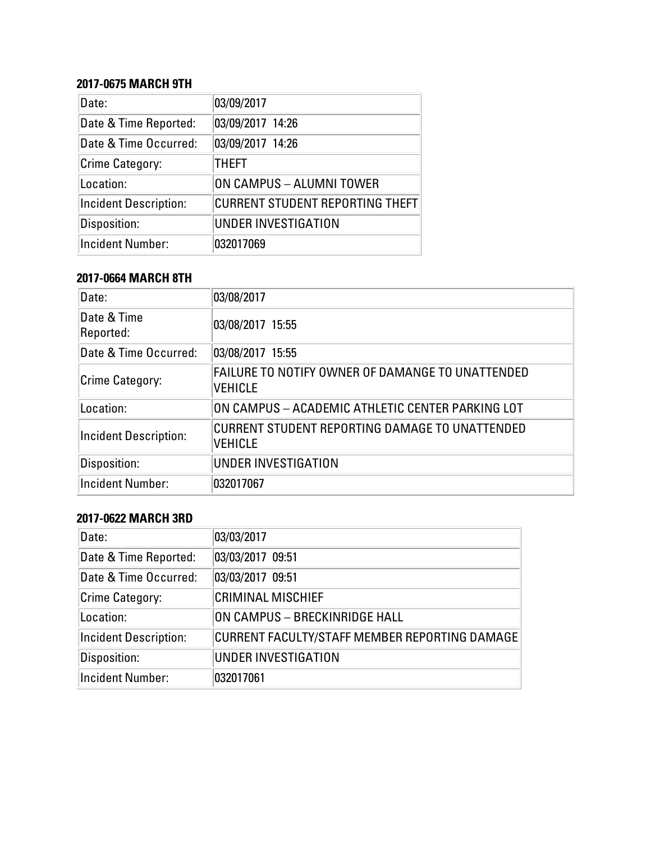#### **2017-0675 MARCH 9TH**

| Date:                        | 03/09/2017                             |
|------------------------------|----------------------------------------|
| Date & Time Reported:        | 03/09/2017 14:26                       |
| Date & Time Occurred:        | 03/09/2017 14:26                       |
| <b>Crime Category:</b>       | <b>THEFT</b>                           |
| Location:                    | ON CAMPUS - ALUMNI TOWER               |
| <b>Incident Description:</b> | <b>CURRENT STUDENT REPORTING THEFT</b> |
| Disposition:                 | <b>UNDER INVESTIGATION</b>             |
| <b>Incident Number:</b>      | 032017069                              |

#### **2017-0664 MARCH 8TH**

| Date:                        | 03/08/2017                                                         |
|------------------------------|--------------------------------------------------------------------|
| Date & Time<br>Reported:     | 03/08/2017 15:55                                                   |
| Date & Time Occurred:        | 03/08/2017 15:55                                                   |
| Crime Category:              | FAILURE TO NOTIFY OWNER OF DAMANGE TO UNATTENDED<br><b>VEHICLE</b> |
| Location:                    | ON CAMPUS - ACADEMIC ATHLETIC CENTER PARKING LOT                   |
| <b>Incident Description:</b> | CURRENT STUDENT REPORTING DAMAGE TO UNATTENDED<br><b>VEHICLE</b>   |
| Disposition:                 | <b>UNDER INVESTIGATION</b>                                         |
| <b>Incident Number:</b>      | 032017067                                                          |

#### **2017-0622 MARCH 3RD**

| Date:                        | 03/03/2017                                    |
|------------------------------|-----------------------------------------------|
| Date & Time Reported:        | 03/03/2017 09:51                              |
| Date & Time Occurred:        | 03/03/2017 09:51                              |
| Crime Category:              | <b>CRIMINAL MISCHIEF</b>                      |
| Location:                    | ON CAMPUS - BRECKINRIDGE HALL                 |
| <b>Incident Description:</b> | CURRENT FACULTY/STAFF MEMBER REPORTING DAMAGE |
| Disposition:                 | UNDER INVESTIGATION                           |
| Incident Number:             | 032017061                                     |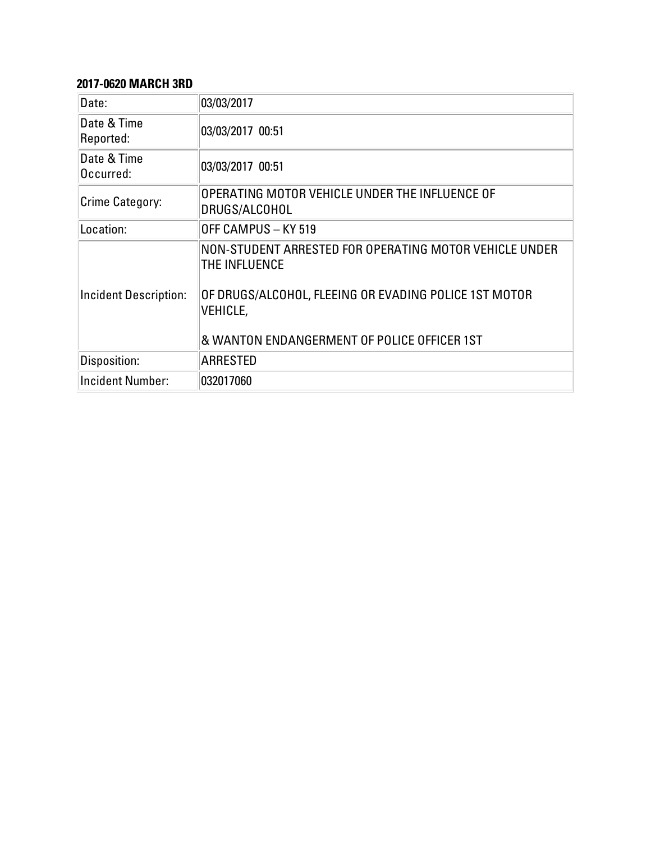# **2017-0620 MARCH 3RD**

| Date:                        | 03/03/2017                                                                                                                                                                                         |
|------------------------------|----------------------------------------------------------------------------------------------------------------------------------------------------------------------------------------------------|
| Date & Time<br>Reported:     | 03/03/2017 00:51                                                                                                                                                                                   |
| Date & Time<br>Occurred:     | 03/03/2017 00:51                                                                                                                                                                                   |
| Crime Category:              | OPERATING MOTOR VEHICLE UNDER THE INFLUENCE OF<br>DRUGS/ALCOHOL                                                                                                                                    |
| Location:                    | OFF CAMPUS - KY 519                                                                                                                                                                                |
| <b>Incident Description:</b> | NON-STUDENT ARRESTED FOR OPERATING MOTOR VEHICLE UNDER<br>THE INFLUENCE<br>OF DRUGS/ALCOHOL, FLEEING OR EVADING POLICE 1ST MOTOR<br><b>VEHICLE,</b><br>& WANTON ENDANGERMENT OF POLICE OFFICER 1ST |
| Disposition:                 | <b>ARRESTED</b>                                                                                                                                                                                    |
| <b>Incident Number:</b>      | 032017060                                                                                                                                                                                          |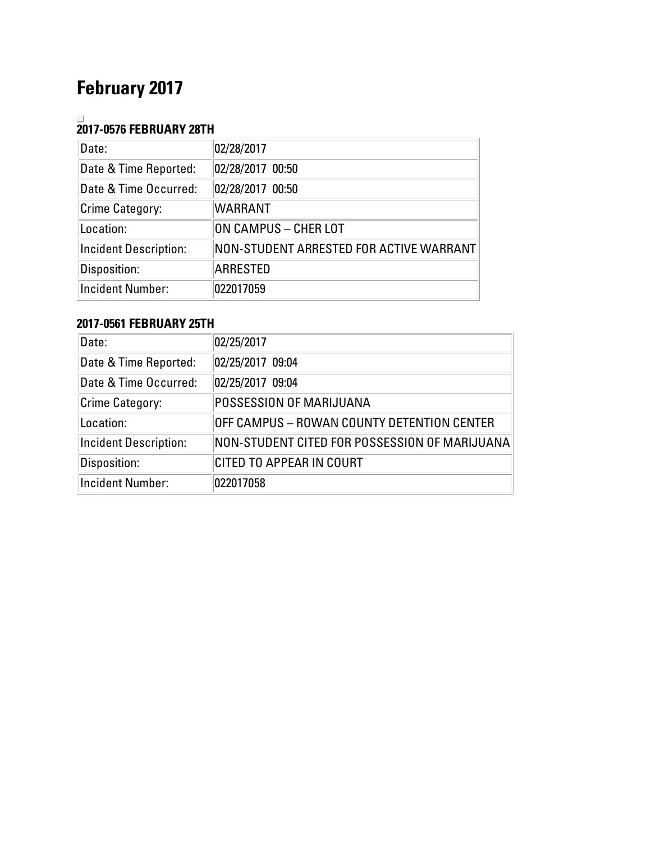# **February 2017**

# **2017-0576 FEBRUARY 28TH**

| Date:                        | 02/28/2017                              |
|------------------------------|-----------------------------------------|
| Date & Time Reported:        | 02/28/2017 00:50                        |
| Date & Time Occurred:        | 02/28/2017 00:50                        |
| <b>Crime Category:</b>       | <b>WARRANT</b>                          |
| Location:                    | ON CAMPUS - CHER LOT                    |
| <b>Incident Description:</b> | NON-STUDENT ARRESTED FOR ACTIVE WARRANT |
| Disposition:                 | <b>ARRESTED</b>                         |
| <b>Incident Number:</b>      | 022017059                               |

# **2017-0561 FEBRUARY 25TH**

| Date:                        | 02/25/2017                                    |
|------------------------------|-----------------------------------------------|
| Date & Time Reported:        | 02/25/2017 09:04                              |
| Date & Time Occurred:        | 02/25/2017 09:04                              |
| Crime Category:              | POSSESSION OF MARIJUANA                       |
| Location:                    | OFF CAMPUS - ROWAN COUNTY DETENTION CENTER    |
| <b>Incident Description:</b> | NON-STUDENT CITED FOR POSSESSION OF MARIJUANA |
| Disposition:                 | <b>CITED TO APPEAR IN COURT</b>               |
| <b>Incident Number:</b>      | 022017058                                     |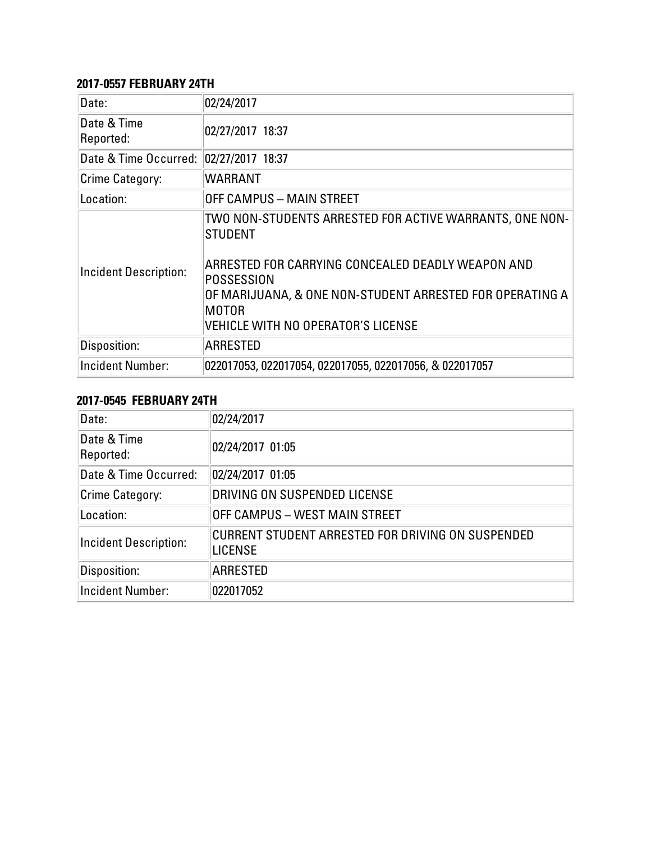#### **2017-0557 FEBRUARY 24TH**

| Date:                        | 02/24/2017                                                                                                                                                                                                                                                                        |
|------------------------------|-----------------------------------------------------------------------------------------------------------------------------------------------------------------------------------------------------------------------------------------------------------------------------------|
| Date & Time<br>Reported:     | 02/27/2017 18:37                                                                                                                                                                                                                                                                  |
| Date & Time Occurred:        | 02/27/2017 18:37                                                                                                                                                                                                                                                                  |
| Crime Category:              | WARRANT                                                                                                                                                                                                                                                                           |
| Location:                    | OFF CAMPUS - MAIN STREET                                                                                                                                                                                                                                                          |
| <b>Incident Description:</b> | TWO NON-STUDENTS ARRESTED FOR ACTIVE WARRANTS, ONE NON-<br><b>STUDENT</b><br>ARRESTED FOR CARRYING CONCEALED DEADLY WEAPON AND<br>POSSESSION<br>OF MARIJUANA, & ONE NON-STUDENT ARRESTED FOR OPERATING A $\parallel$<br><b>MOTOR</b><br><b>VEHICLE WITH NO OPERATOR'S LICENSE</b> |
| Disposition:                 | <b>ARRESTED</b>                                                                                                                                                                                                                                                                   |
| <b>Incident Number:</b>      | 022017053, 022017054, 022017055, 022017056, & 022017057                                                                                                                                                                                                                           |

#### **2017-0545 FEBRUARY 24TH**

| Date:                        | 02/24/2017                                                          |
|------------------------------|---------------------------------------------------------------------|
| Date & Time<br>Reported:     | 02/24/2017 01:05                                                    |
| Date & Time Occurred:        | 02/24/2017 01:05                                                    |
| Crime Category:              | DRIVING ON SUSPENDED LICENSE                                        |
| Location:                    | OFF CAMPUS – WEST MAIN STREET                                       |
| <b>Incident Description:</b> | CURRENT STUDENT ARRESTED FOR DRIVING ON SUSPENDED<br><b>LICENSE</b> |
| Disposition:                 | <b>ARRESTED</b>                                                     |
| <b>Incident Number:</b>      | 022017052                                                           |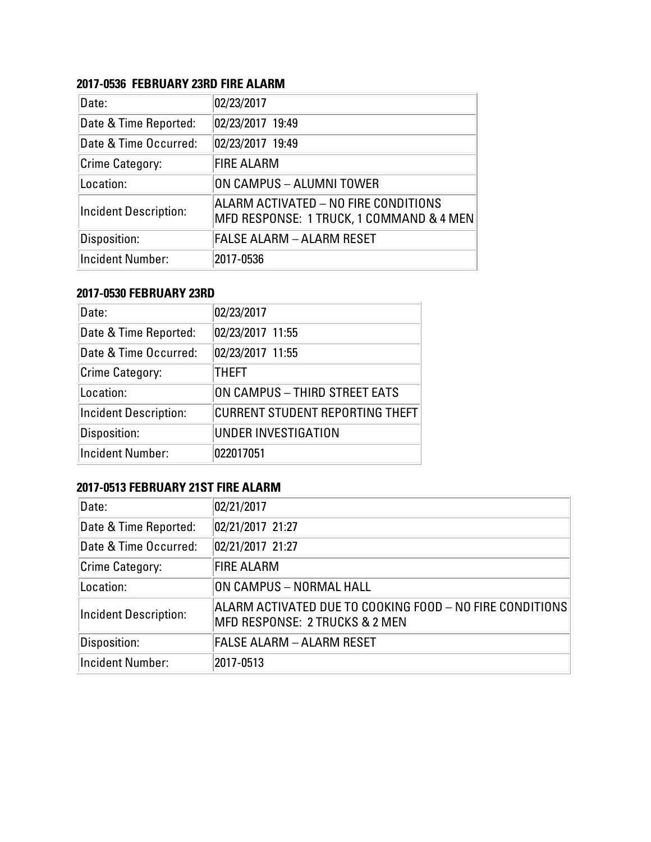### **2017-0536 FEBRUARY 23RD FIRE ALARM**

| Date:                        | 02/23/2017                                                                       |
|------------------------------|----------------------------------------------------------------------------------|
| Date & Time Reported:        | 02/23/2017 19:49                                                                 |
| Date & Time Occurred:        | 02/23/2017 19:49                                                                 |
| Crime Category:              | <b>FIRE ALARM</b>                                                                |
| Location:                    | ON CAMPUS - ALUMNI TOWER                                                         |
| <b>Incident Description:</b> | ALARM ACTIVATED - NO FIRE CONDITIONS<br>MFD RESPONSE: 1 TRUCK, 1 COMMAND & 4 MEN |
| Disposition:                 | <b>FALSE ALARM - ALARM RESET</b>                                                 |
| <b>Incident Number:</b>      | 2017-0536                                                                        |

#### **2017-0530 FEBRUARY 23RD**

| Date:                        | 02/23/2017                             |
|------------------------------|----------------------------------------|
| Date & Time Reported:        | 02/23/2017 11:55                       |
| Date & Time Occurred:        | 02/23/2017 11:55                       |
| Crime Category:              | <b>THEFT</b>                           |
| Location:                    | ON CAMPUS - THIRD STREET EATS          |
| <b>Incident Description:</b> | <b>CURRENT STUDENT REPORTING THEFT</b> |
| Disposition:                 | <b>UNDER INVESTIGATION</b>             |
| <b>Incident Number:</b>      | 022017051                              |

# **2017-0513 FEBRUARY 21ST FIRE ALARM**

| Date:                        | 02/21/2017                                                                                            |
|------------------------------|-------------------------------------------------------------------------------------------------------|
| Date & Time Reported:        | 02/21/2017 21:27                                                                                      |
| Date & Time Occurred:        | 02/21/2017 21:27                                                                                      |
| Crime Category:              | <b>FIRE ALARM</b>                                                                                     |
| Location:                    | ON CAMPUS - NORMAL HALL                                                                               |
| <b>Incident Description:</b> | ALARM ACTIVATED DUE TO COOKING FOOD - NO FIRE CONDITIONS<br><b>MFD RESPONSE: 2 TRUCKS &amp; 2 MEN</b> |
| Disposition:                 | FALSE ALARM – ALARM RESET                                                                             |
| <b>Incident Number:</b>      | 2017-0513                                                                                             |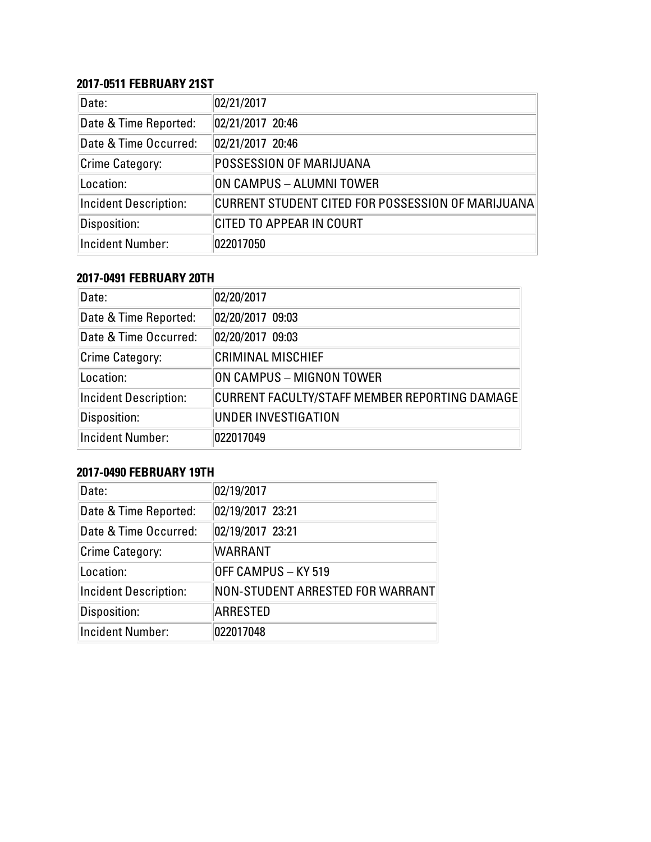## **2017-0511 FEBRUARY 21ST**

| Date:                        | 02/21/2017                                        |
|------------------------------|---------------------------------------------------|
| Date & Time Reported:        | 02/21/2017 20:46                                  |
| Date & Time Occurred:        | 02/21/2017 20:46                                  |
| Crime Category:              | <b>POSSESSION OF MARIJUANA</b>                    |
| Location:                    | ON CAMPUS - ALUMNI TOWER                          |
| <b>Incident Description:</b> | CURRENT STUDENT CITED FOR POSSESSION OF MARIJUANA |
| Disposition:                 | <b>CITED TO APPEAR IN COURT</b>                   |
| Incident Number:             | 022017050                                         |

#### **2017-0491 FEBRUARY 20TH**

| Date:                        | 02/20/2017                                    |
|------------------------------|-----------------------------------------------|
| Date & Time Reported:        | 02/20/2017 09:03                              |
| Date & Time Occurred:        | 02/20/2017 09:03                              |
| <b>Crime Category:</b>       | <b>CRIMINAL MISCHIEF</b>                      |
| Location:                    | ON CAMPUS - MIGNON TOWER                      |
| <b>Incident Description:</b> | CURRENT FACULTY/STAFF MEMBER REPORTING DAMAGE |
| Disposition:                 | UNDER INVESTIGATION                           |
| <b>Incident Number:</b>      | 022017049                                     |

# **2017-0490 FEBRUARY 19TH**

| Date:                        | 02/19/2017                       |
|------------------------------|----------------------------------|
| Date & Time Reported:        | 02/19/2017 23:21                 |
| Date & Time Occurred:        | 02/19/2017 23:21                 |
| Crime Category:              | <b>WARRANT</b>                   |
| Location:                    | OFF CAMPUS - KY 519              |
| <b>Incident Description:</b> | NON-STUDENT ARRESTED FOR WARRANT |
| Disposition:                 | <b>ARRESTED</b>                  |
| <b>Incident Number:</b>      | 022017048                        |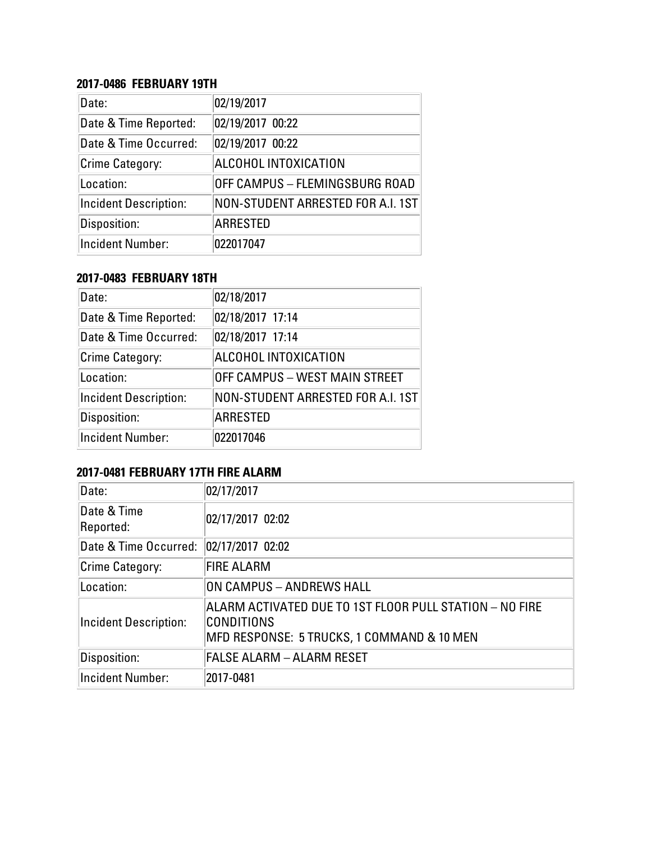#### **2017-0486 FEBRUARY 19TH**

| Date:                        | 02/19/2017                        |
|------------------------------|-----------------------------------|
| Date & Time Reported:        | 02/19/2017 00:22                  |
| Date & Time Occurred:        | 02/19/2017 00:22                  |
| <b>Crime Category:</b>       | ALCOHOL INTOXICATION              |
| Location:                    | OFF CAMPUS - FLEMINGSBURG ROAD    |
| <b>Incident Description:</b> | NON-STUDENT ARRESTED FOR A.I. 1ST |
| Disposition:                 | <b>ARRESTED</b>                   |
| <b>Incident Number:</b>      | 022017047                         |

#### **2017-0483 FEBRUARY 18TH**

| Date:                        | 02/18/2017                        |
|------------------------------|-----------------------------------|
| Date & Time Reported:        | 02/18/2017 17:14                  |
| Date & Time Occurred:        | 02/18/2017 17:14                  |
| <b>Crime Category:</b>       | ALCOHOL INTOXICATION              |
| Location:                    | OFF CAMPUS - WEST MAIN STREET     |
| <b>Incident Description:</b> | NON-STUDENT ARRESTED FOR A.I. 1ST |
| Disposition:                 | <b>ARRESTED</b>                   |
| <b>Incident Number:</b>      | 022017046                         |

# **2017-0481 FEBRUARY 17TH FIRE ALARM**

| Date:                    | 02/17/2017                                                                                                          |
|--------------------------|---------------------------------------------------------------------------------------------------------------------|
| Date & Time<br>Reported: | 02/17/2017 02:02                                                                                                    |
| Date & Time Occurred:    | 02/17/2017 02:02                                                                                                    |
| Crime Category:          | <b>FIRE ALARM</b>                                                                                                   |
| Location:                | ON CAMPUS – ANDREWS HALL                                                                                            |
| Incident Description:    | ALARM ACTIVATED DUE TO 1ST FLOOR PULL STATION – NO FIRE<br>CONDITIONS<br>MFD RESPONSE: 5 TRUCKS, 1 COMMAND & 10 MEN |
| Disposition:             | <b>FALSE ALARM - ALARM RESET</b>                                                                                    |
| Incident Number:         | 2017-0481                                                                                                           |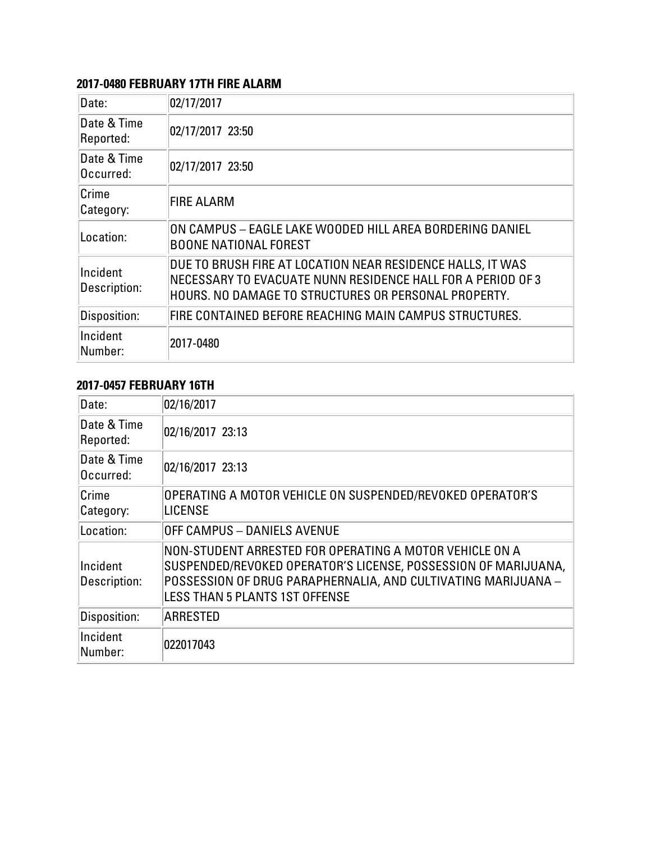# **2017-0480 FEBRUARY 17TH FIRE ALARM**

| Date:                    | 02/17/2017                                                                                                                                                                        |
|--------------------------|-----------------------------------------------------------------------------------------------------------------------------------------------------------------------------------|
| Date & Time<br>Reported: | 02/17/2017 23:50                                                                                                                                                                  |
| Date & Time<br>Occurred: | 02/17/2017 23:50                                                                                                                                                                  |
| Crime<br>Category:       | <b>FIRE ALARM</b>                                                                                                                                                                 |
| Location:                | ON CAMPUS - EAGLE LAKE WOODED HILL AREA BORDERING DANIEL<br><b>BOONE NATIONAL FOREST</b>                                                                                          |
| Incident<br>Description: | DUE TO BRUSH FIRE AT LOCATION NEAR RESIDENCE HALLS, IT WAS<br>NECESSARY TO EVACUATE NUNN RESIDENCE HALL FOR A PERIOD OF 3<br>HOURS. NO DAMAGE TO STRUCTURES OR PERSONAL PROPERTY. |
| Disposition:             | FIRE CONTAINED BEFORE REACHING MAIN CAMPUS STRUCTURES.                                                                                                                            |
| Incident<br>Number:      | 2017-0480                                                                                                                                                                         |

# **2017-0457 FEBRUARY 16TH**

| Date:                    | 02/16/2017                                                                                                                                                                                                                          |
|--------------------------|-------------------------------------------------------------------------------------------------------------------------------------------------------------------------------------------------------------------------------------|
| Date & Time<br>Reported: | 02/16/2017 23:13                                                                                                                                                                                                                    |
| Date & Time<br>Occurred: | 02/16/2017 23:13                                                                                                                                                                                                                    |
| Crime<br>Category:       | OPERATING A MOTOR VEHICLE ON SUSPENDED/REVOKED OPERATOR'S<br><b>LICENSE</b>                                                                                                                                                         |
| Location:                | OFF CAMPUS - DANIELS AVENUE                                                                                                                                                                                                         |
| Incident<br>Description: | NON-STUDENT ARRESTED FOR OPERATING A MOTOR VEHICLE ON A<br>SUSPENDED/REVOKED OPERATOR'S LICENSE, POSSESSION OF MARIJUANA,<br>POSSESSION OF DRUG PARAPHERNALIA, AND CULTIVATING MARIJUANA -<br><b>LESS THAN 5 PLANTS 1ST OFFENSE</b> |
| Disposition:             | <b>ARRESTED</b>                                                                                                                                                                                                                     |
| Incident<br>Number:      | 022017043                                                                                                                                                                                                                           |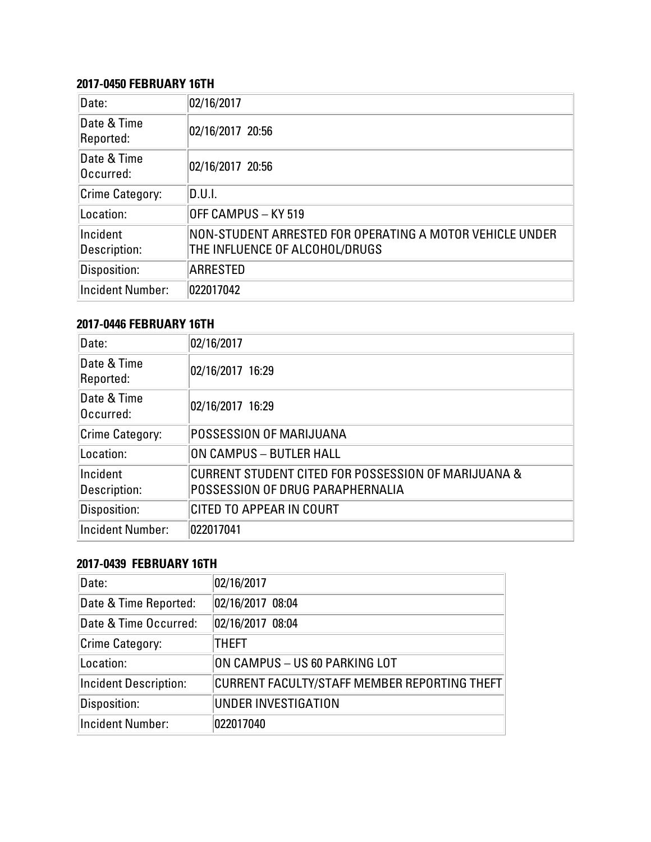#### **2017-0450 FEBRUARY 16TH**

| Date:                    | 02/16/2017                                                                                 |
|--------------------------|--------------------------------------------------------------------------------------------|
| Date & Time<br>Reported: | 02/16/2017 20:56                                                                           |
| Date & Time<br>Occurred: | 02/16/2017 20:56                                                                           |
| Crime Category:          | D.U.I.                                                                                     |
| Location:                | OFF CAMPUS - KY 519                                                                        |
| Incident<br>Description: | NON-STUDENT ARRESTED FOR OPERATING A MOTOR VEHICLE UNDER<br>THE INFLUENCE OF ALCOHOL/DRUGS |
| Disposition:             | <b>ARRESTED</b>                                                                            |
| <b>Incident Number:</b>  | 022017042                                                                                  |

# **2017-0446 FEBRUARY 16TH**

| Date:                    | 02/16/2017                                                                              |
|--------------------------|-----------------------------------------------------------------------------------------|
| Date & Time<br>Reported: | 02/16/2017 16:29                                                                        |
| Date & Time<br>Occurred: | 02/16/2017 16:29                                                                        |
| <b>Crime Category:</b>   | <b>POSSESSION OF MARIJUANA</b>                                                          |
| Location:                | ON CAMPUS - BUTLER HALL                                                                 |
| Incident<br>Description: | CURRENT STUDENT CITED FOR POSSESSION OF MARIJUANA &<br>POSSESSION OF DRUG PARAPHERNALIA |
| Disposition:             | <b>CITED TO APPEAR IN COURT</b>                                                         |
| <b>Incident Number:</b>  | 022017041                                                                               |

#### **2017-0439 FEBRUARY 16TH**

| Date:                        | 02/16/2017                                   |
|------------------------------|----------------------------------------------|
| Date & Time Reported:        | 02/16/2017 08:04                             |
| Date & Time Occurred:        | 02/16/2017 08:04                             |
| Crime Category:              | <b>THEFT</b>                                 |
| Location:                    | ON CAMPUS - US 60 PARKING LOT                |
| <b>Incident Description:</b> | CURRENT FACULTY/STAFF MEMBER REPORTING THEFT |
| Disposition:                 | <b>UNDER INVESTIGATION</b>                   |
| <b>Incident Number:</b>      | 022017040                                    |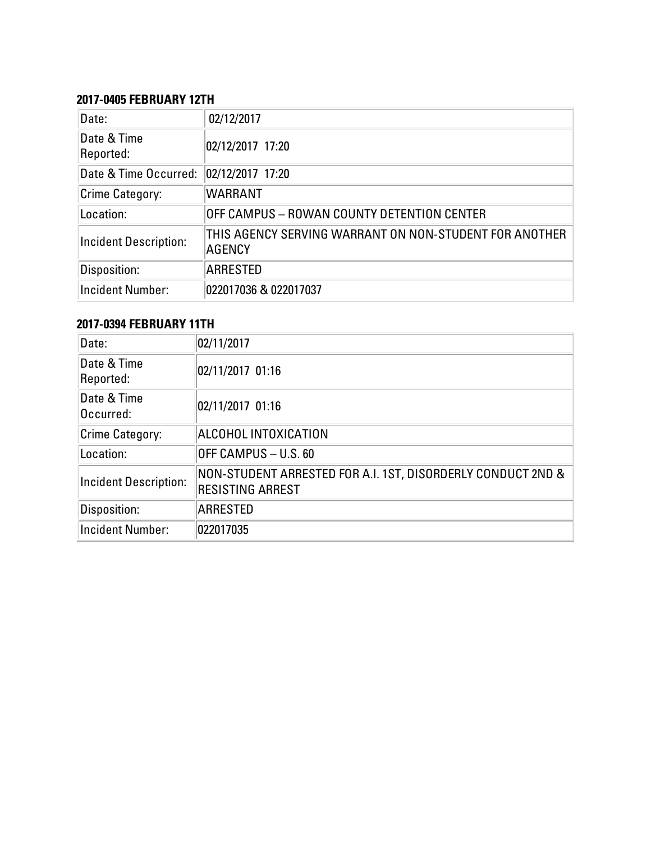#### **2017-0405 FEBRUARY 12TH**

| Date:                        | 02/12/2017                                                       |
|------------------------------|------------------------------------------------------------------|
| Date & Time<br>Reported:     | 02/12/2017 17:20                                                 |
| Date & Time Occurred:        | 02/12/2017 17:20                                                 |
| Crime Category:              | <b>WARRANT</b>                                                   |
| Location:                    | OFF CAMPUS – ROWAN COUNTY DETENTION CENTER                       |
| <b>Incident Description:</b> | THIS AGENCY SERVING WARRANT ON NON-STUDENT FOR ANOTHER<br>AGENCY |
| Disposition:                 | <b>ARRESTED</b>                                                  |
| <b>Incident Number:</b>      | 022017036 & 022017037                                            |

# **2017-0394 FEBRUARY 11TH**

| Date:                        | 02/11/2017                                                                             |
|------------------------------|----------------------------------------------------------------------------------------|
| Date & Time<br>Reported:     | 02/11/2017 01:16                                                                       |
| Date & Time<br>Occurred:     | 02/11/2017 01:16                                                                       |
| Crime Category:              | ALCOHOL INTOXICATION                                                                   |
| Location:                    | OFF CAMPUS - U.S. 60                                                                   |
| <b>Incident Description:</b> | NON-STUDENT ARRESTED FOR A.I. 1ST, DISORDERLY CONDUCT 2ND &<br><b>RESISTING ARREST</b> |
| Disposition:                 | ARRESTED                                                                               |
| <b>Incident Number:</b>      | 022017035                                                                              |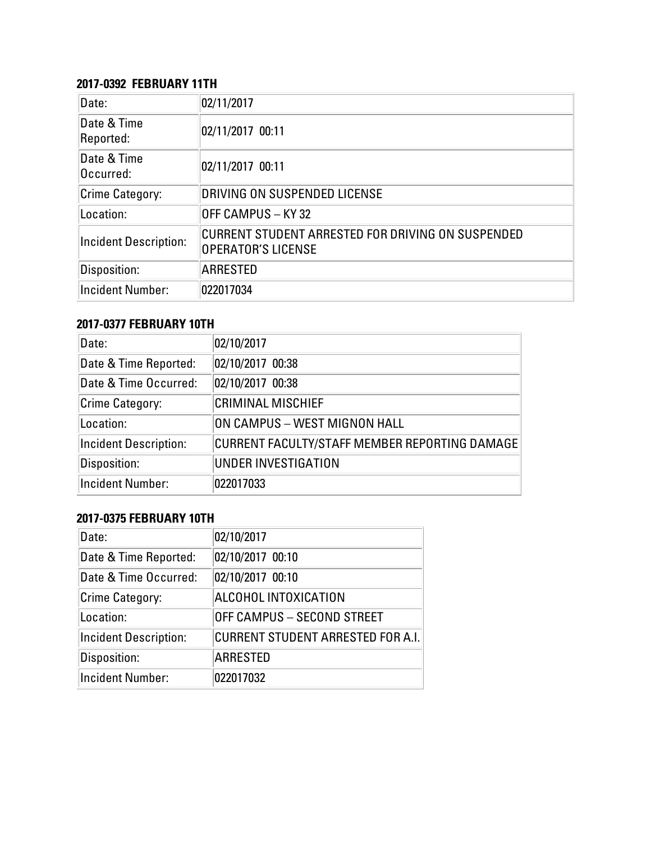## **2017-0392 FEBRUARY 11TH**

| Date:                        | 02/11/2017                                                                     |
|------------------------------|--------------------------------------------------------------------------------|
| Date & Time<br>Reported:     | 02/11/2017 00:11                                                               |
| Date & Time<br>Occurred:     | 02/11/2017 00:11                                                               |
| Crime Category:              | DRIVING ON SUSPENDED LICENSE                                                   |
| Location:                    | OFF CAMPUS - KY 32                                                             |
| <b>Incident Description:</b> | CURRENT STUDENT ARRESTED FOR DRIVING ON SUSPENDED<br><b>OPERATOR'S LICENSE</b> |
| Disposition:                 | <b>ARRESTED</b>                                                                |
| <b>Incident Number:</b>      | 022017034                                                                      |

# **2017-0377 FEBRUARY 10TH**

| Date:                        | 02/10/2017                                    |
|------------------------------|-----------------------------------------------|
| Date & Time Reported:        | 02/10/2017 00:38                              |
| Date & Time Occurred:        | 02/10/2017 00:38                              |
| <b>Crime Category:</b>       | <b>CRIMINAL MISCHIEF</b>                      |
| Location:                    | ON CAMPUS – WEST MIGNON HALL                  |
| <b>Incident Description:</b> | CURRENT FACULTY/STAFF MEMBER REPORTING DAMAGE |
| Disposition:                 | UNDER INVESTIGATION                           |
| <b>Incident Number:</b>      | 022017033                                     |

# **2017-0375 FEBRUARY 10TH**

| Date:                        | 02/10/2017                        |
|------------------------------|-----------------------------------|
| Date & Time Reported:        | 02/10/2017 00:10                  |
| Date & Time Occurred:        | 02/10/2017 00:10                  |
| Crime Category:              | ALCOHOL INTOXICATION              |
| Location:                    | OFF CAMPUS - SECOND STREET        |
| <b>Incident Description:</b> | CURRENT STUDENT ARRESTED FOR A.I. |
| Disposition:                 | <b>ARRESTED</b>                   |
| <b>Incident Number:</b>      | 022017032                         |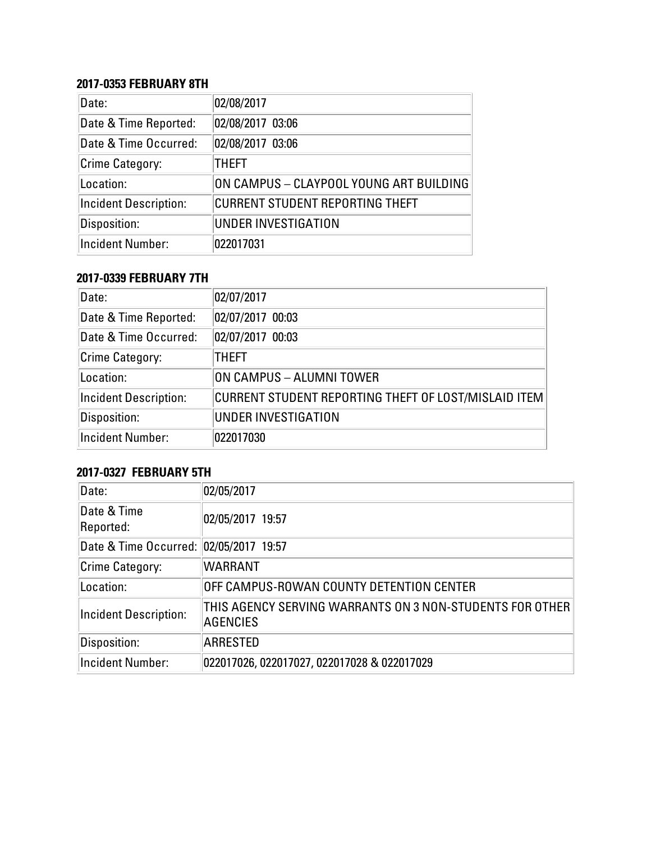#### **2017-0353 FEBRUARY 8TH**

| Date:                        | 02/08/2017                              |
|------------------------------|-----------------------------------------|
| Date & Time Reported:        | 02/08/2017 03:06                        |
| Date & Time Occurred:        | 02/08/2017 03:06                        |
| <b>Crime Category:</b>       | <b>THEFT</b>                            |
| Location:                    | ON CAMPUS - CLAYPOOL YOUNG ART BUILDING |
| <b>Incident Description:</b> | <b>CURRENT STUDENT REPORTING THEFT</b>  |
| Disposition:                 | <b>UNDER INVESTIGATION</b>              |
| <b>Incident Number:</b>      | 022017031                               |

#### **2017-0339 FEBRUARY 7TH**

| Date:                        | 02/07/2017                                           |
|------------------------------|------------------------------------------------------|
| Date & Time Reported:        | 02/07/2017 00:03                                     |
| Date & Time Occurred:        | 02/07/2017 00:03                                     |
| Crime Category:              | <b>THEFT</b>                                         |
| Location:                    | ON CAMPUS - ALUMNI TOWER                             |
| <b>Incident Description:</b> | CURRENT STUDENT REPORTING THEFT OF LOST/MISLAID ITEM |
| Disposition:                 | UNDER INVESTIGATION                                  |
| Incident Number:             | 022017030                                            |

# **2017-0327 FEBRUARY 5TH**

| Date:                                  | 02/05/2017                                                                  |
|----------------------------------------|-----------------------------------------------------------------------------|
| Date & Time<br>Reported:               | 02/05/2017 19:57                                                            |
| Date & Time Occurred: 02/05/2017 19:57 |                                                                             |
| Crime Category:                        | <b>WARRANT</b>                                                              |
| Location:                              | OFF CAMPUS-ROWAN COUNTY DETENTION CENTER                                    |
| <b>Incident Description:</b>           | THIS AGENCY SERVING WARRANTS ON 3 NON-STUDENTS FOR OTHER<br><b>AGENCIES</b> |
| Disposition:                           | <b>ARRESTED</b>                                                             |
| <b>Incident Number:</b>                | 022017026, 022017027, 022017028 & 022017029                                 |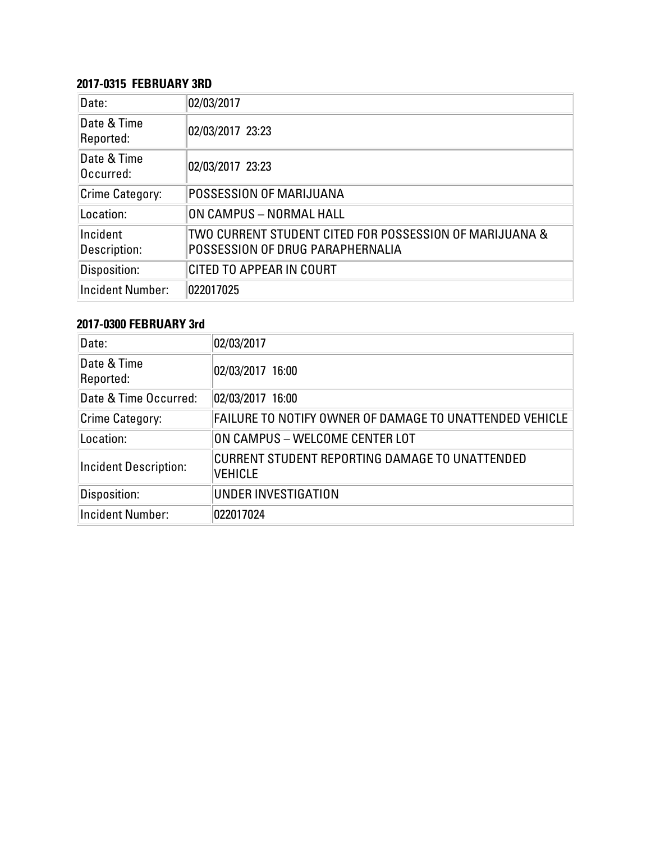#### **2017-0315 FEBRUARY 3RD**

| Date:                    | 02/03/2017                                                                                  |
|--------------------------|---------------------------------------------------------------------------------------------|
| Date & Time<br>Reported: | 02/03/2017 23:23                                                                            |
| Date & Time<br>Occurred: | 02/03/2017 23:23                                                                            |
| <b>Crime Category:</b>   | POSSESSION OF MARIJUANA                                                                     |
| Location:                | ON CAMPUS - NORMAL HALL                                                                     |
| Incident<br>Description: | TWO CURRENT STUDENT CITED FOR POSSESSION OF MARIJUANA &<br>POSSESSION OF DRUG PARAPHERNALIA |
| Disposition:             | CITED TO APPEAR IN COURT                                                                    |
| <b>Incident Number:</b>  | 022017025                                                                                   |

# **2017-0300 FEBRUARY 3rd**

| Date:                        | 02/03/2017                                                       |
|------------------------------|------------------------------------------------------------------|
| Date & Time<br>Reported:     | 02/03/2017 16:00                                                 |
| Date & Time Occurred:        | 02/03/2017 16:00                                                 |
| Crime Category:              | FAILURE TO NOTIFY OWNER OF DAMAGE TO UNATTENDED VEHICLE          |
| Location:                    | ON CAMPUS - WELCOME CENTER LOT                                   |
| <b>Incident Description:</b> | CURRENT STUDENT REPORTING DAMAGE TO UNATTENDED<br><b>VEHICLE</b> |
| Disposition:                 | UNDER INVESTIGATION                                              |
| <b>Incident Number:</b>      | 022017024                                                        |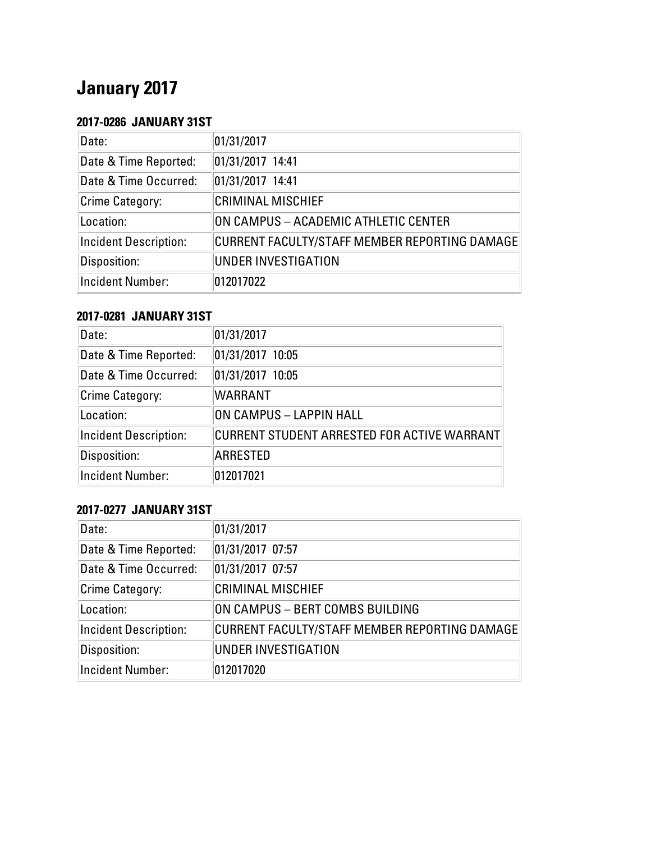# **January 2017**

#### **2017-0286 JANUARY 31ST**

| Date:                        | 01/31/2017                                    |
|------------------------------|-----------------------------------------------|
| Date & Time Reported:        | 01/31/2017 14:41                              |
| Date & Time Occurred:        | 01/31/2017 14:41                              |
| <b>Crime Category:</b>       | <b>CRIMINAL MISCHIEF</b>                      |
| Location:                    | ON CAMPUS - ACADEMIC ATHLETIC CENTER          |
| <b>Incident Description:</b> | CURRENT FACULTY/STAFF MEMBER REPORTING DAMAGE |
| Disposition:                 | UNDER INVESTIGATION                           |
| <b>Incident Number:</b>      | 012017022                                     |

#### **2017-0281 JANUARY 31ST**

| Date:                        | 01/31/2017                                  |
|------------------------------|---------------------------------------------|
| Date & Time Reported:        | 01/31/2017 10:05                            |
| Date & Time Occurred:        | 01/31/2017 10:05                            |
| Crime Category:              | <b>WARRANT</b>                              |
| Location:                    | ON CAMPUS - LAPPIN HALL                     |
| <b>Incident Description:</b> | CURRENT STUDENT ARRESTED FOR ACTIVE WARRANT |
| Disposition:                 | <b>ARRESTED</b>                             |
| <b>Incident Number:</b>      | 012017021                                   |

#### **2017-0277 JANUARY 31ST**

| Date:                        | 01/31/2017                                    |
|------------------------------|-----------------------------------------------|
| Date & Time Reported:        | 01/31/2017 07:57                              |
| Date & Time Occurred:        | 01/31/2017 07:57                              |
| Crime Category:              | <b>CRIMINAL MISCHIEF</b>                      |
| Location:                    | ON CAMPUS - BERT COMBS BUILDING               |
| <b>Incident Description:</b> | CURRENT FACULTY/STAFF MEMBER REPORTING DAMAGE |
| Disposition:                 | UNDER INVESTIGATION                           |
| Incident Number:             | 012017020                                     |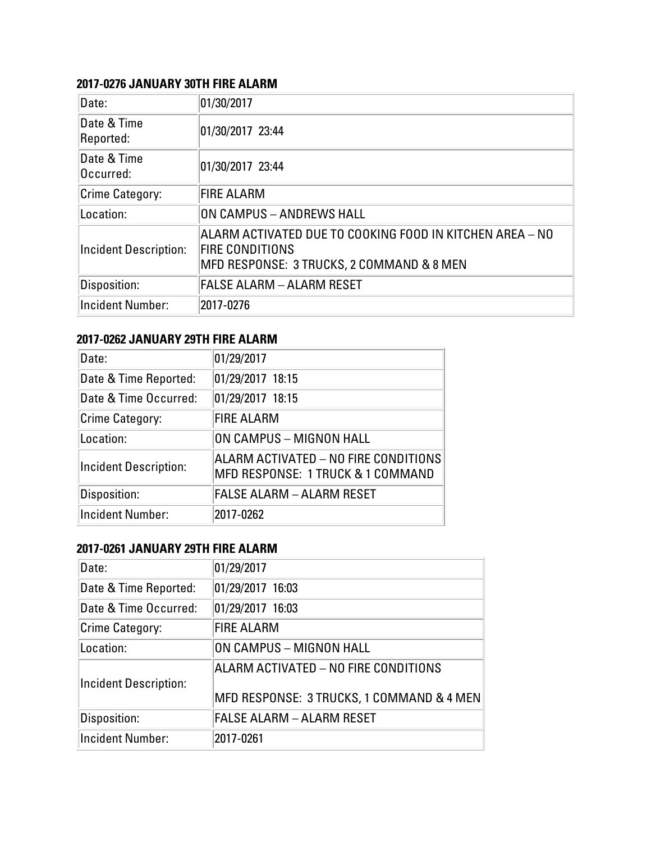#### **2017-0276 JANUARY 30TH FIRE ALARM**

| Date:                        | 01/30/2017                                                                                                                      |
|------------------------------|---------------------------------------------------------------------------------------------------------------------------------|
| Date & Time<br>Reported:     | 01/30/2017 23:44                                                                                                                |
| Date & Time<br>Occurred:     | 01/30/2017 23:44                                                                                                                |
| Crime Category:              | <b>FIRE ALARM</b>                                                                                                               |
| Location:                    | ON CAMPUS - ANDREWS HALL                                                                                                        |
| <b>Incident Description:</b> | ALARM ACTIVATED DUE TO COOKING FOOD IN KITCHEN AREA – NO<br><b>FIRE CONDITIONS</b><br>MFD RESPONSE: 3 TRUCKS, 2 COMMAND & 8 MEN |
| Disposition:                 | <b>FALSE ALARM - ALARM RESET</b>                                                                                                |
| <b>Incident Number:</b>      | 2017-0276                                                                                                                       |

#### **2017-0262 JANUARY 29TH FIRE ALARM**

| Date:                        | 01/29/2017                                                                     |
|------------------------------|--------------------------------------------------------------------------------|
| Date & Time Reported:        | 01/29/2017 18:15                                                               |
| Date & Time Occurred:        | 01/29/2017 18:15                                                               |
| Crime Category:              | <b>FIRE ALARM</b>                                                              |
| Location:                    | ON CAMPUS - MIGNON HALL                                                        |
| <b>Incident Description:</b> | $ALARM$ $ACTIVATED$ $ NO$ FIRE CONDITIONS<br>MFD RESPONSE: 1 TRUCK & 1 COMMAND |
| Disposition:                 | <b>FALSE ALARM - ALARM RESET</b>                                               |
| <b>Incident Number:</b>      | 2017-0262                                                                      |

#### **2017-0261 JANUARY 29TH FIRE ALARM**

| Date:                        | 01/29/2017                                                                        |
|------------------------------|-----------------------------------------------------------------------------------|
| Date & Time Reported:        | 01/29/2017 16:03                                                                  |
| Date & Time Occurred:        | 01/29/2017 16:03                                                                  |
| Crime Category:              | <b>FIRE ALARM</b>                                                                 |
| Location:                    | ON CAMPUS - MIGNON HALL                                                           |
| <b>Incident Description:</b> | ALARM ACTIVATED - NO FIRE CONDITIONS<br>MFD RESPONSE: 3 TRUCKS, 1 COMMAND & 4 MEN |
| Disposition:                 | <b>FALSE ALARM - ALARM RESET</b>                                                  |
| <b>Incident Number:</b>      | 2017-0261                                                                         |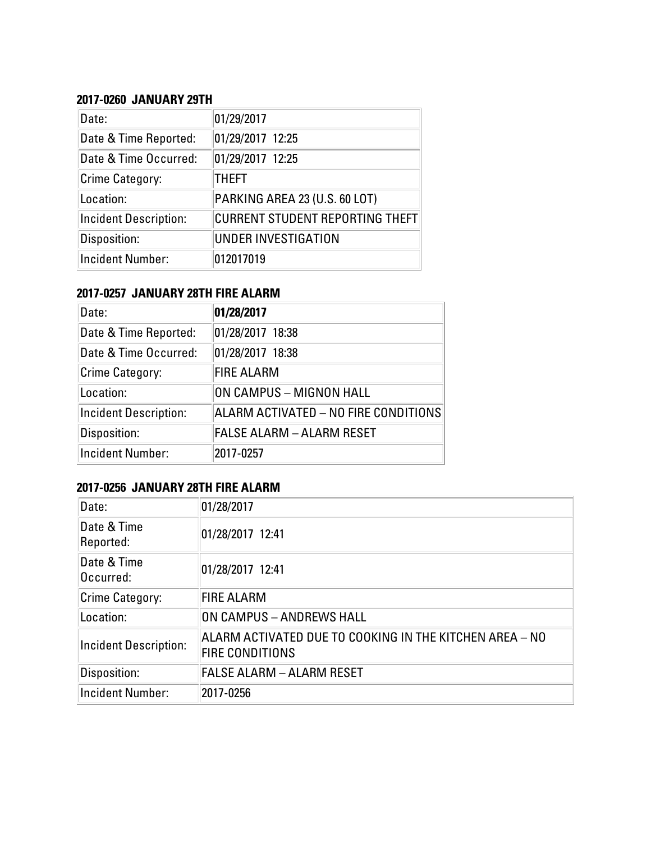#### **2017-0260 JANUARY 29TH**

| Date:                        | 01/29/2017                             |
|------------------------------|----------------------------------------|
| Date & Time Reported:        | 01/29/2017 12:25                       |
| Date & Time Occurred:        | 01/29/2017 12:25                       |
| Crime Category:              | <b>THEFT</b>                           |
| Location:                    | PARKING AREA 23 (U.S. 60 LOT)          |
| <b>Incident Description:</b> | <b>CURRENT STUDENT REPORTING THEFT</b> |
| Disposition:                 | UNDER INVESTIGATION                    |
| <b>Incident Number:</b>      | 012017019                              |

#### **2017-0257 JANUARY 28TH FIRE ALARM**

| Date:                        | 01/28/2017                           |
|------------------------------|--------------------------------------|
| Date & Time Reported:        | 01/28/2017 18:38                     |
| Date & Time Occurred:        | 01/28/2017 18:38                     |
| Crime Category:              | <b>FIRE ALARM</b>                    |
| Location:                    | ON CAMPUS - MIGNON HALL              |
| <b>Incident Description:</b> | ALARM ACTIVATED - NO FIRE CONDITIONS |
| Disposition:                 | FALSE ALARM - ALARM RESET            |
| <b>Incident Number:</b>      | 2017-0257                            |

# **2017-0256 JANUARY 28TH FIRE ALARM**

| Date:                        | 01/28/2017                                                                        |
|------------------------------|-----------------------------------------------------------------------------------|
| Date & Time<br>Reported:     | 01/28/2017 12:41                                                                  |
| Date & Time<br>Occurred:     | 01/28/2017 12:41                                                                  |
| Crime Category:              | <b>FIRE ALARM</b>                                                                 |
| Location:                    | ON CAMPUS - ANDREWS HALL                                                          |
| <b>Incident Description:</b> | ALARM ACTIVATED DUE TO COOKING IN THE KITCHEN AREA - NO<br><b>FIRE CONDITIONS</b> |
| Disposition:                 | <b>FALSE ALARM - ALARM RESET</b>                                                  |
| Incident Number:             | 2017-0256                                                                         |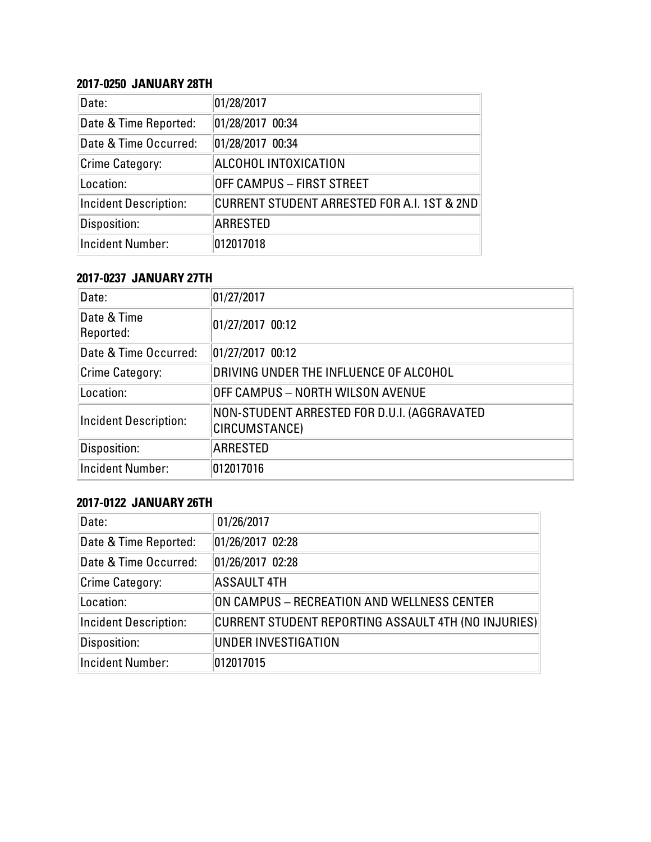#### **2017-0250 JANUARY 28TH**

| Date:                        | 01/28/2017                                  |
|------------------------------|---------------------------------------------|
| Date & Time Reported:        | 01/28/2017 00:34                            |
| Date & Time Occurred:        | 01/28/2017 00:34                            |
| Crime Category:              | ALCOHOL INTOXICATION                        |
| Location:                    | <b>OFF CAMPUS - FIRST STREET</b>            |
| <b>Incident Description:</b> | CURRENT STUDENT ARRESTED FOR A.I. 1ST & 2ND |
| Disposition:                 | <b>ARRESTED</b>                             |
| <b>Incident Number:</b>      | 012017018                                   |

#### **2017-0237 JANUARY 27TH**

| Date:                        | 01/27/2017                                                   |
|------------------------------|--------------------------------------------------------------|
| Date & Time<br>Reported:     | 01/27/2017 00:12                                             |
| Date & Time Occurred:        | 01/27/2017 00:12                                             |
| Crime Category:              | DRIVING UNDER THE INFLUENCE OF ALCOHOL                       |
| Location:                    | OFF CAMPUS - NORTH WILSON AVENUE                             |
| <b>Incident Description:</b> | NON-STUDENT ARRESTED FOR D.U.I. (AGGRAVATED<br>CIRCUMSTANCE) |
| Disposition:                 | <b>ARRESTED</b>                                              |
| <b>Incident Number:</b>      | 012017016                                                    |

### **2017-0122 JANUARY 26TH**

| Date:                        | 01/26/2017                                          |
|------------------------------|-----------------------------------------------------|
| Date & Time Reported:        | 01/26/2017 02:28                                    |
| Date & Time Occurred:        | 01/26/2017 02:28                                    |
| Crime Category:              | <b>ASSAULT 4TH</b>                                  |
| Location:                    | ON CAMPUS - RECREATION AND WELLNESS CENTER          |
| <b>Incident Description:</b> | CURRENT STUDENT REPORTING ASSAULT 4TH (NO INJURIES) |
| Disposition:                 | UNDER INVESTIGATION                                 |
| Incident Number:             | 012017015                                           |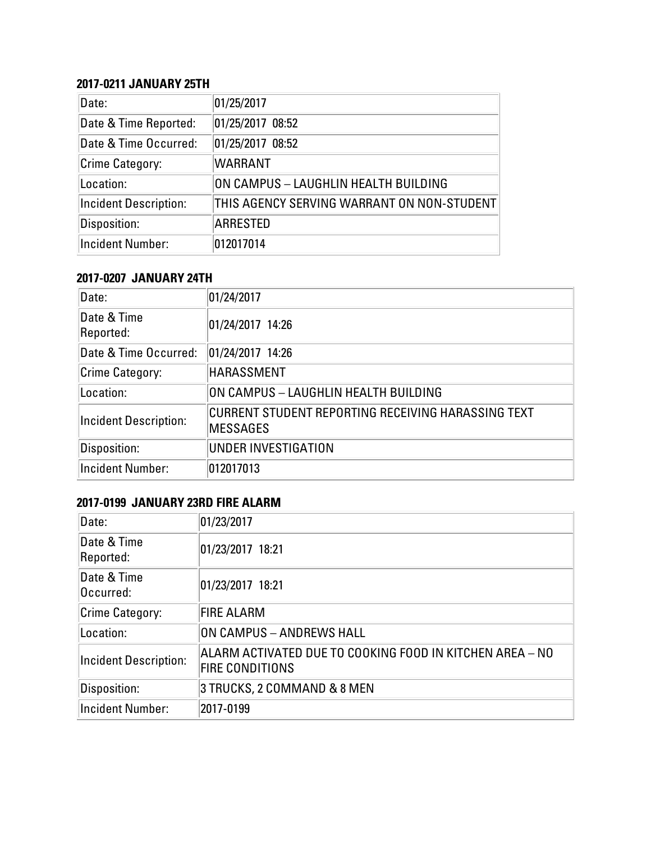## **2017-0211 JANUARY 25TH**

| Date:                        | 01/25/2017                                 |
|------------------------------|--------------------------------------------|
| Date & Time Reported:        | 01/25/2017 08:52                           |
| Date & Time Occurred:        | 01/25/2017 08:52                           |
| <b>Crime Category:</b>       | <b>WARRANT</b>                             |
| Location:                    | ON CAMPUS - LAUGHLIN HEALTH BUILDING       |
| <b>Incident Description:</b> | THIS AGENCY SERVING WARRANT ON NON-STUDENT |
| Disposition:                 | ARRESTED                                   |
| Incident Number:             | 012017014                                  |

# **2017-0207 JANUARY 24TH**

| Date:                        | 01/24/2017                                                            |
|------------------------------|-----------------------------------------------------------------------|
| Date & Time<br>Reported:     | 01/24/2017 14:26                                                      |
| Date & Time Occurred:        | 01/24/2017 14:26                                                      |
| Crime Category:              | HARASSMENT                                                            |
| Location:                    | ON CAMPUS - LAUGHLIN HEALTH BUILDING                                  |
| <b>Incident Description:</b> | CURRENT STUDENT REPORTING RECEIVING HARASSING TEXT<br><b>MESSAGES</b> |
| Disposition:                 | UNDER INVESTIGATION                                                   |
| <b>Incident Number:</b>      | 012017013                                                             |

### **2017-0199 JANUARY 23RD FIRE ALARM**

| Date:                        | 01/23/2017                                                                         |
|------------------------------|------------------------------------------------------------------------------------|
| Date & Time<br>Reported:     | 01/23/2017 18:21                                                                   |
| Date & Time<br>Occurred:     | 01/23/2017 18:21                                                                   |
| Crime Category:              | <b>FIRE ALARM</b>                                                                  |
| Location:                    | ON CAMPUS - ANDREWS HALL                                                           |
| <b>Incident Description:</b> | ALARM ACTIVATED DUE TO COOKING FOOD IN KITCHEN AREA - NO<br><b>FIRE CONDITIONS</b> |
| Disposition:                 | 3 TRUCKS, 2 COMMAND & 8 MEN                                                        |
| <b>Incident Number:</b>      | 2017-0199                                                                          |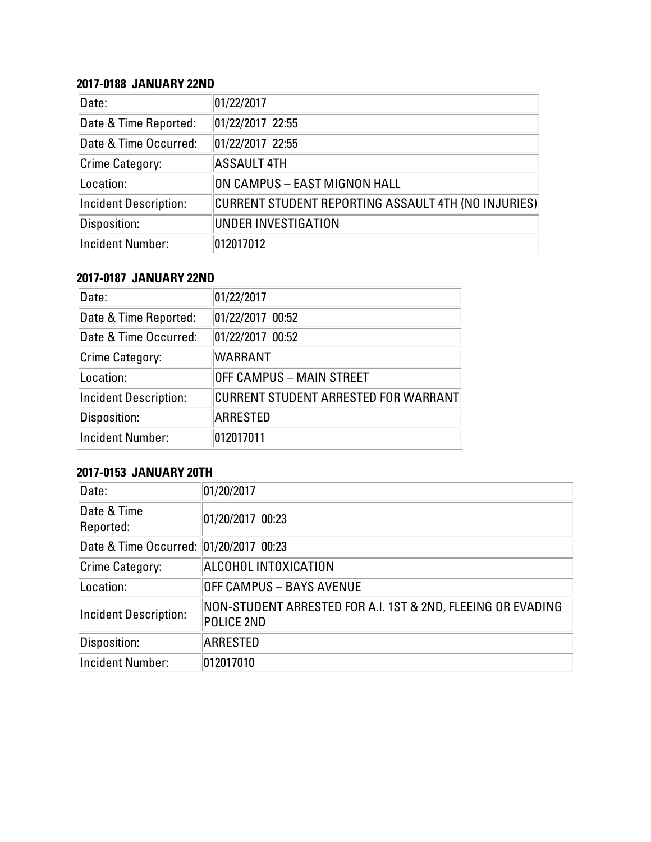#### **2017-0188 JANUARY 22ND**

| Date:                        | 01/22/2017                                          |
|------------------------------|-----------------------------------------------------|
| Date & Time Reported:        | 01/22/2017 22:55                                    |
| Date & Time Occurred:        | 01/22/2017 22:55                                    |
| <b>Crime Category:</b>       | <b>ASSAULT 4TH</b>                                  |
| Location:                    | ON CAMPUS - EAST MIGNON HALL                        |
| <b>Incident Description:</b> | CURRENT STUDENT REPORTING ASSAULT 4TH (NO INJURIES) |
| Disposition:                 | UNDER INVESTIGATION                                 |
| <b>Incident Number:</b>      | 012017012                                           |

#### **2017-0187 JANUARY 22ND**

| Date:                        | 01/22/2017                           |
|------------------------------|--------------------------------------|
| Date & Time Reported:        | 01/22/2017 00:52                     |
| Date & Time Occurred:        | 01/22/2017 00:52                     |
| <b>Crime Category:</b>       | <b>WARRANT</b>                       |
| Location:                    | <b>OFF CAMPUS - MAIN STREET</b>      |
| <b>Incident Description:</b> | CURRENT STUDENT ARRESTED FOR WARRANT |
| Disposition:                 | ARRESTED                             |
| <b>Incident Number:</b>      | 012017011                            |

# **2017-0153 JANUARY 20TH**

| Date:                                  | 01/20/2017                                                                |
|----------------------------------------|---------------------------------------------------------------------------|
| Date & Time<br>Reported:               | 01/20/2017 00:23                                                          |
| Date & Time Occurred: 01/20/2017 00:23 |                                                                           |
| Crime Category:                        | ALCOHOL INTOXICATION                                                      |
| Location:                              | <b>OFF CAMPUS - BAYS AVENUE</b>                                           |
| <b>Incident Description:</b>           | NON-STUDENT ARRESTED FOR A.I. 1ST & 2ND, FLEEING OR EVADING<br>POLICE 2ND |
| Disposition:                           | <b>ARRESTED</b>                                                           |
| <b>Incident Number:</b>                | 012017010                                                                 |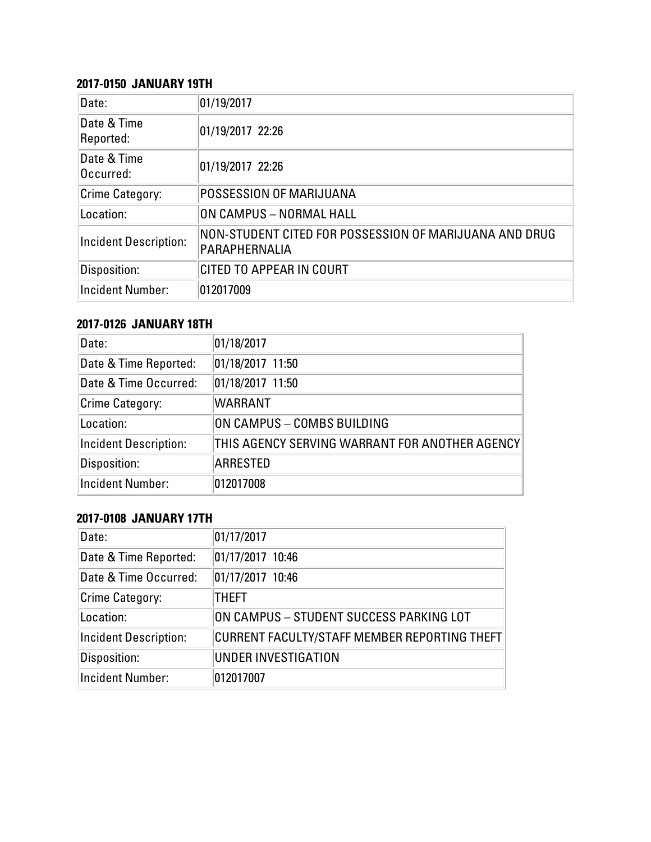### **2017-0150 JANUARY 19TH**

| Date:                        | 01/19/2017                                                              |
|------------------------------|-------------------------------------------------------------------------|
| Date & Time<br>Reported:     | 01/19/2017 22:26                                                        |
| Date & Time<br>Occurred:     | 01/19/2017 22:26                                                        |
| Crime Category:              | POSSESSION OF MARIJUANA                                                 |
| Location:                    | ON CAMPUS - NORMAL HALL                                                 |
| <b>Incident Description:</b> | NON-STUDENT CITED FOR POSSESSION OF MARIJUANA AND DRUG<br>PARAPHERNALIA |
| Disposition:                 | CITED TO APPEAR IN COURT                                                |
| <b>Incident Number:</b>      | 012017009                                                               |

# **2017-0126 JANUARY 18TH**

| Date:                        | 01/18/2017                                     |
|------------------------------|------------------------------------------------|
| Date & Time Reported:        | 01/18/2017 11:50                               |
| Date & Time Occurred:        | 01/18/2017 11:50                               |
| Crime Category:              | <b>WARRANT</b>                                 |
| Location:                    | ON CAMPUS - COMBS BUILDING                     |
| <b>Incident Description:</b> | THIS AGENCY SERVING WARRANT FOR ANOTHER AGENCY |
| Disposition:                 | <b>ARRESTED</b>                                |
| <b>Incident Number:</b>      | 012017008                                      |

# **2017-0108 JANUARY 17TH**

| Date:                        | 01/17/2017                                   |
|------------------------------|----------------------------------------------|
| Date & Time Reported:        | 01/17/2017 10:46                             |
| Date & Time Occurred:        | 01/17/2017 10:46                             |
| <b>Crime Category:</b>       | THEFT                                        |
| Location:                    | ON CAMPUS - STUDENT SUCCESS PARKING LOT      |
| <b>Incident Description:</b> | CURRENT FACULTY/STAFF MEMBER REPORTING THEFT |
| Disposition:                 | UNDER INVESTIGATION                          |
| <b>Incident Number:</b>      | 012017007                                    |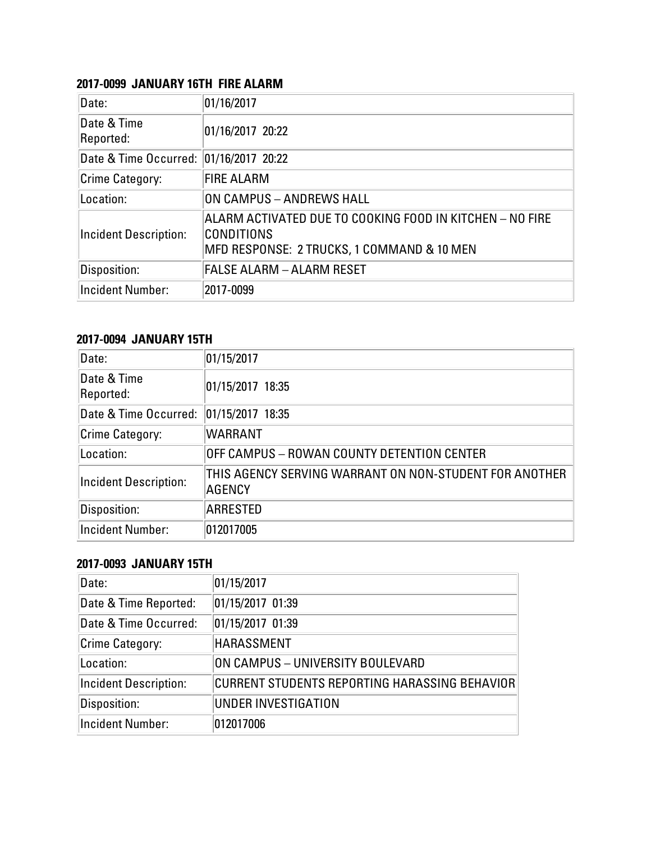#### **2017-0099 JANUARY 16TH FIRE ALARM**

| Date:                                  | 01/16/2017                                                                                                           |
|----------------------------------------|----------------------------------------------------------------------------------------------------------------------|
| Date & Time<br>Reported:               | 01/16/2017 20:22                                                                                                     |
| Date & Time Occurred: 01/16/2017 20:22 |                                                                                                                      |
| Crime Category:                        | <b>FIRE ALARM</b>                                                                                                    |
| Location:                              | ON CAMPUS - ANDREWS HALL                                                                                             |
| <b>Incident Description:</b>           | ALARM ACTIVATED DUE TO COOKING FOOD IN KITCHEN – NO FIRE<br>CONDITIONS<br>MFD RESPONSE: 2 TRUCKS, 1 COMMAND & 10 MEN |
| Disposition:                           | <b>FALSE ALARM - ALARM RESET</b>                                                                                     |
| <b>Incident Number:</b>                | 2017-0099                                                                                                            |

#### **2017-0094 JANUARY 15TH**

| Date:                        | 01/15/2017                                                              |
|------------------------------|-------------------------------------------------------------------------|
| Date & Time<br>Reported:     | 01/15/2017 18:35                                                        |
| Date & Time Occurred:        | 01/15/2017 18:35                                                        |
| Crime Category:              | <b>WARRANT</b>                                                          |
| Location:                    | OFF CAMPUS – ROWAN COUNTY DETENTION CENTER                              |
| <b>Incident Description:</b> | THIS AGENCY SERVING WARRANT ON NON-STUDENT FOR ANOTHER<br><b>AGENCY</b> |
| Disposition:                 | <b>ARRESTED</b>                                                         |
| <b>Incident Number:</b>      | 012017005                                                               |

#### **2017-0093 JANUARY 15TH**

| Date:                        | 01/15/2017                                    |
|------------------------------|-----------------------------------------------|
| Date & Time Reported:        | 01/15/2017 01:39                              |
| Date & Time Occurred:        | 01/15/2017 01:39                              |
| <b>Crime Category:</b>       | HARASSMENT                                    |
| Location:                    | ON CAMPUS - UNIVERSITY BOULEVARD              |
| <b>Incident Description:</b> | CURRENT STUDENTS REPORTING HARASSING BEHAVIOR |
| Disposition:                 | UNDER INVESTIGATION                           |
| <b>Incident Number:</b>      | 012017006                                     |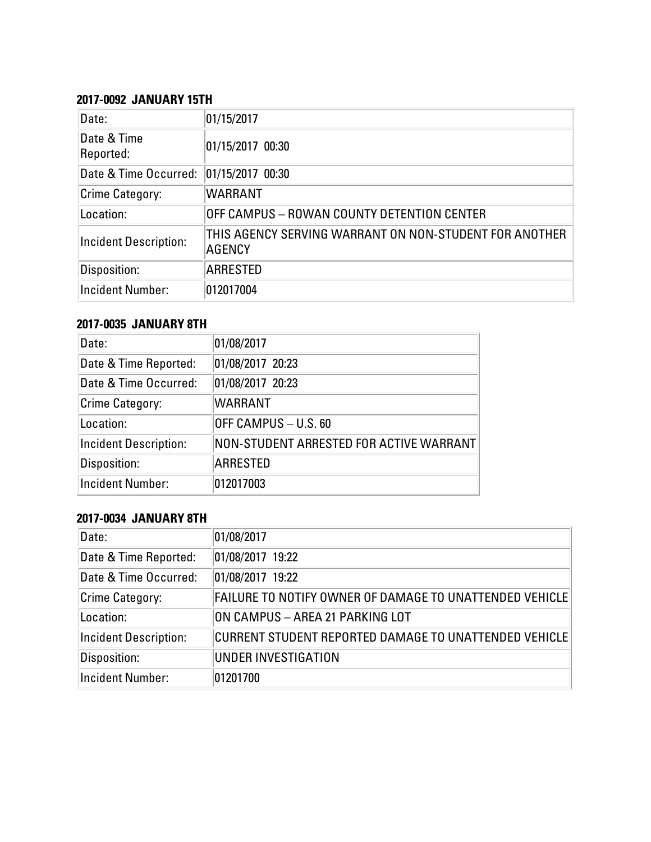#### **2017-0092 JANUARY 15TH**

| Date:                        | 01/15/2017                                                       |
|------------------------------|------------------------------------------------------------------|
| Date & Time<br>Reported:     | 01/15/2017 00:30                                                 |
| Date & Time Occurred:        | 01/15/2017 00:30                                                 |
| Crime Category:              | <b>WARRANT</b>                                                   |
| Location:                    | OFF CAMPUS – ROWAN COUNTY DETENTION CENTER                       |
| <b>Incident Description:</b> | THIS AGENCY SERVING WARRANT ON NON-STUDENT FOR ANOTHER<br>AGENCY |
| Disposition:                 | ARRESTED                                                         |
| <b>Incident Number:</b>      | 012017004                                                        |

# **2017-0035 JANUARY 8TH**

| Date:                        | 01/08/2017                              |
|------------------------------|-----------------------------------------|
| Date & Time Reported:        | 01/08/2017 20:23                        |
| Date & Time Occurred:        | 01/08/2017 20:23                        |
| Crime Category:              | <b>WARRANT</b>                          |
| Location:                    | OFF CAMPUS - U.S. 60                    |
| <b>Incident Description:</b> | NON-STUDENT ARRESTED FOR ACTIVE WARRANT |
| Disposition:                 | <b>ARRESTED</b>                         |
| Incident Number:             | 012017003                               |

# **2017-0034 JANUARY 8TH**

| Date:                        | 01/08/2017                                              |
|------------------------------|---------------------------------------------------------|
| Date & Time Reported:        | 01/08/2017 19:22                                        |
| Date & Time Occurred:        | 01/08/2017 19:22                                        |
| Crime Category:              | FAILURE TO NOTIFY OWNER OF DAMAGE TO UNATTENDED VEHICLE |
| Location:                    | ON CAMPUS - AREA 21 PARKING LOT                         |
| <b>Incident Description:</b> | CURRENT STUDENT REPORTED DAMAGE TO UNATTENDED VEHICLE   |
| Disposition:                 | UNDER INVESTIGATION                                     |
| Incident Number:             | 01201700                                                |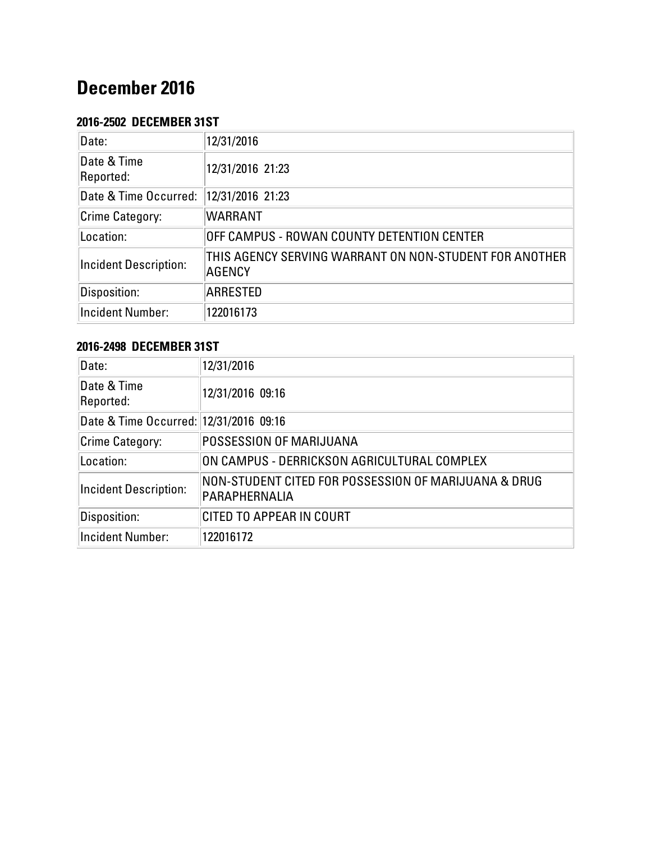# **December 2016**

# **2016-2502 DECEMBER 31ST**

| Date:                        | 12/31/2016                                                       |
|------------------------------|------------------------------------------------------------------|
| Date & Time<br>Reported:     | 12/31/2016 21:23                                                 |
| Date & Time Occurred:        | 12/31/2016 21:23                                                 |
| Crime Category:              | <b>WARRANT</b>                                                   |
| Location:                    | OFF CAMPUS - ROWAN COUNTY DETENTION CENTER                       |
| <b>Incident Description:</b> | THIS AGENCY SERVING WARRANT ON NON-STUDENT FOR ANOTHER<br>AGENCY |
| Disposition:                 | ARRESTED                                                         |
| <b>Incident Number:</b>      | 122016173                                                        |

# **2016-2498 DECEMBER 31ST**

| Date:                                  | 12/31/2016                                                            |
|----------------------------------------|-----------------------------------------------------------------------|
| Date & Time<br>Reported:               | 12/31/2016 09:16                                                      |
| Date & Time Occurred: 12/31/2016 09:16 |                                                                       |
| Crime Category:                        | <b>POSSESSION OF MARIJUANA</b>                                        |
| Location:                              | ON CAMPUS - DERRICKSON AGRICULTURAL COMPLEX                           |
| <b>Incident Description:</b>           | NON-STUDENT CITED FOR POSSESSION OF MARIJUANA & DRUG<br>PARAPHERNALIA |
| Disposition:                           | CITED TO APPEAR IN COURT                                              |
| Incident Number:                       | 122016172                                                             |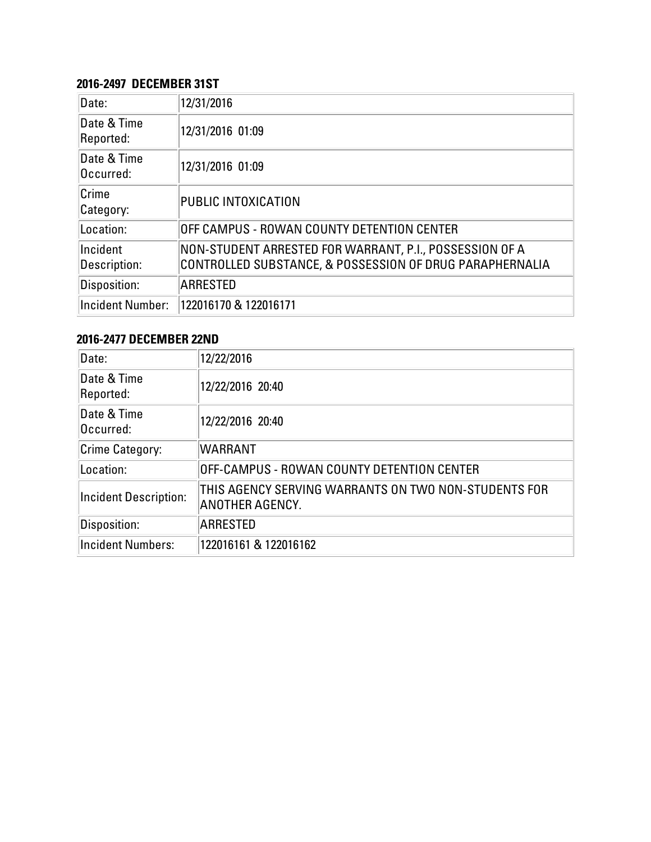### **2016-2497 DECEMBER 31ST**

| Date:                    | 12/31/2016                                                                                                          |
|--------------------------|---------------------------------------------------------------------------------------------------------------------|
| Date & Time<br>Reported: | 12/31/2016 01:09                                                                                                    |
| Date & Time<br>Occurred: | 12/31/2016 01:09                                                                                                    |
| Crime<br>Category:       | PUBLIC INTOXICATION                                                                                                 |
| Location:                | OFF CAMPUS - ROWAN COUNTY DETENTION CENTER                                                                          |
| Incident<br>Description: | NON-STUDENT ARRESTED FOR WARRANT, P.I., POSSESSION OF A<br>CONTROLLED SUBSTANCE, & POSSESSION OF DRUG PARAPHERNALIA |
| Disposition:             | <b>ARRESTED</b>                                                                                                     |
| <b>Incident Number:</b>  | 122016170 & 122016171                                                                                               |

#### **2016-2477 DECEMBER 22ND**

| Date:                        | 12/22/2016                                                              |
|------------------------------|-------------------------------------------------------------------------|
| Date & Time<br>Reported:     | 12/22/2016 20:40                                                        |
| Date & Time<br>Occurred:     | 12/22/2016 20:40                                                        |
| Crime Category:              | <b>WARRANT</b>                                                          |
| Location:                    | OFF-CAMPUS - ROWAN COUNTY DETENTION CENTER                              |
| <b>Incident Description:</b> | THIS AGENCY SERVING WARRANTS ON TWO NON-STUDENTS FOR<br>ANOTHER AGENCY. |
| Disposition:                 | <b>ARRESTED</b>                                                         |
| <b>Incident Numbers:</b>     | 122016161 & 122016162                                                   |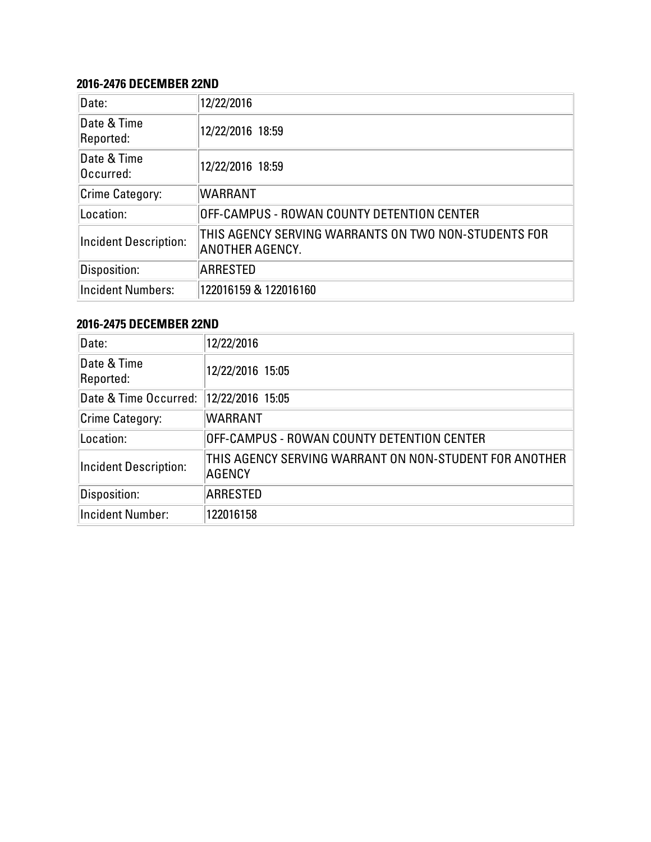#### **2016-2476 DECEMBER 22ND**

| Date:                        | 12/22/2016                                                              |
|------------------------------|-------------------------------------------------------------------------|
| Date & Time<br>Reported:     | 12/22/2016 18:59                                                        |
| Date & Time<br>Occurred:     | 12/22/2016 18:59                                                        |
| Crime Category:              | <b>WARRANT</b>                                                          |
| Location:                    | OFF-CAMPUS - ROWAN COUNTY DETENTION CENTER                              |
| <b>Incident Description:</b> | THIS AGENCY SERVING WARRANTS ON TWO NON-STUDENTS FOR<br>ANOTHER AGENCY. |
| Disposition:                 | <b>ARRESTED</b>                                                         |
| <b>Incident Numbers:</b>     | 122016159 & 122016160                                                   |

# **2016-2475 DECEMBER 22ND**

| Date:                        | 12/22/2016                                                       |
|------------------------------|------------------------------------------------------------------|
| Date & Time<br>Reported:     | 12/22/2016 15:05                                                 |
| Date & Time Occurred:        | 12/22/2016 15:05                                                 |
| Crime Category:              | <b>WARRANT</b>                                                   |
| Location:                    | OFF-CAMPUS - ROWAN COUNTY DETENTION CENTER                       |
| <b>Incident Description:</b> | THIS AGENCY SERVING WARRANT ON NON-STUDENT FOR ANOTHER<br>AGENCY |
| Disposition:                 | ARRESTED                                                         |
| <b>Incident Number:</b>      | 122016158                                                        |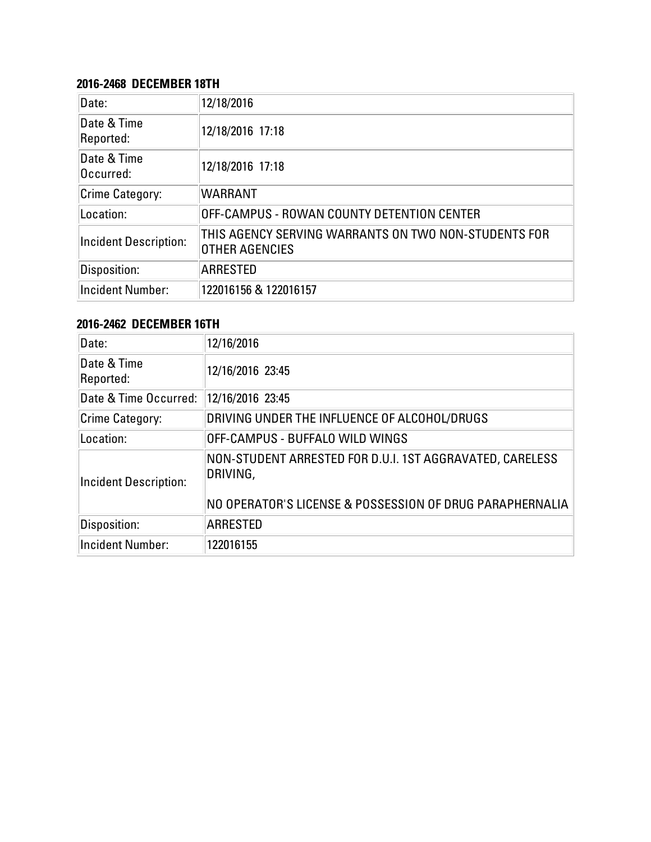#### **2016-2468 DECEMBER 18TH**

| Date:                        | 12/18/2016                                                             |
|------------------------------|------------------------------------------------------------------------|
| Date & Time<br>Reported:     | 12/18/2016 17:18                                                       |
| Date & Time<br>Occurred:     | 12/18/2016 17:18                                                       |
| <b>Crime Category:</b>       | <b>WARRANT</b>                                                         |
| Location:                    | OFF-CAMPUS - ROWAN COUNTY DETENTION CENTER                             |
| <b>Incident Description:</b> | THIS AGENCY SERVING WARRANTS ON TWO NON-STUDENTS FOR<br>OTHER AGENCIES |
| Disposition:                 | <b>ARRESTED</b>                                                        |
| <b>Incident Number:</b>      | 122016156 & 122016157                                                  |

# **2016-2462 DECEMBER 16TH**

| Date:                        | 12/16/2016                                                                                                                       |
|------------------------------|----------------------------------------------------------------------------------------------------------------------------------|
| Date & Time<br>Reported:     | 12/16/2016 23:45                                                                                                                 |
| Date & Time Occurred:        | 12/16/2016 23:45                                                                                                                 |
| <b>Crime Category:</b>       | DRIVING UNDER THE INFLUENCE OF ALCOHOL/DRUGS                                                                                     |
| Location:                    | OFF-CAMPUS - BUFFALO WILD WINGS                                                                                                  |
| <b>Incident Description:</b> | NON-STUDENT ARRESTED FOR D.U.I. 1ST AGGRAVATED, CARELESS<br>DRIVING,<br>NO OPERATOR'S LICENSE & POSSESSION OF DRUG PARAPHERNALIA |
| Disposition:                 | <b>ARRESTED</b>                                                                                                                  |
| <b>Incident Number:</b>      | 122016155                                                                                                                        |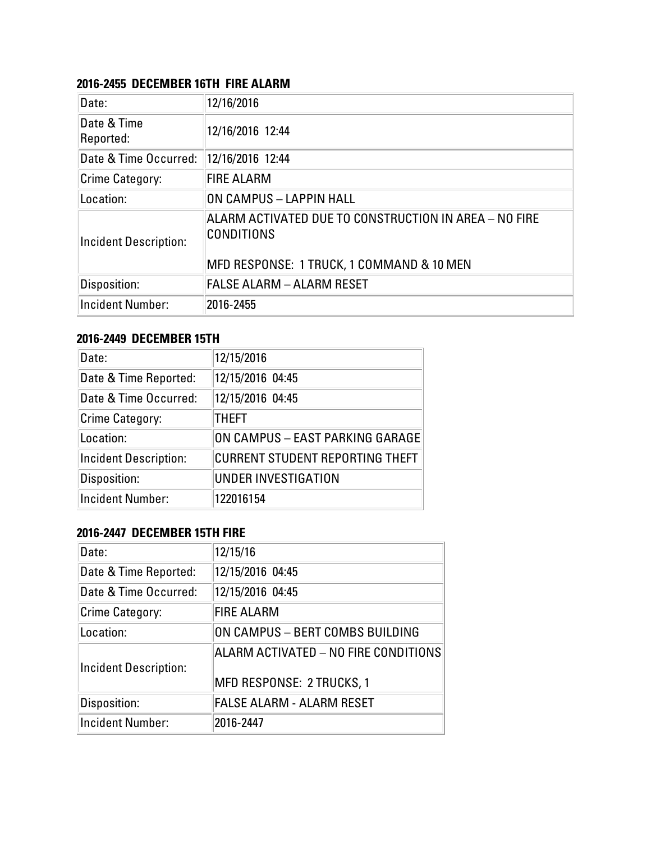#### **2016-2455 DECEMBER 16TH FIRE ALARM**

| Date:                    | 12/16/2016                                                                                                              |
|--------------------------|-------------------------------------------------------------------------------------------------------------------------|
| Date & Time<br>Reported: | 12/16/2016 12:44                                                                                                        |
| Date & Time Occurred:    | 12/16/2016 12:44                                                                                                        |
| Crime Category:          | <b>FIRE ALARM</b>                                                                                                       |
| Location:                | ON CAMPUS - LAPPIN HALL                                                                                                 |
| Incident Description:    | ALARM ACTIVATED DUE TO CONSTRUCTION IN AREA - NO FIRE<br><b>CONDITIONS</b><br>MFD RESPONSE: 1 TRUCK, 1 COMMAND & 10 MEN |
| Disposition:             | <b>FALSE ALARM - ALARM RESET</b>                                                                                        |
| <b>Incident Number:</b>  | 2016-2455                                                                                                               |

# **2016-2449 DECEMBER 15TH**

| Date:                        | 12/15/2016                             |
|------------------------------|----------------------------------------|
| Date & Time Reported:        | 12/15/2016 04:45                       |
| Date & Time Occurred:        | 12/15/2016 04:45                       |
| Crime Category:              | <b>THEFT</b>                           |
| Location:                    | ON CAMPUS - EAST PARKING GARAGE        |
| <b>Incident Description:</b> | <b>CURRENT STUDENT REPORTING THEFT</b> |
| Disposition:                 | <b>UNDER INVESTIGATION</b>             |
| <b>Incident Number:</b>      | 122016154                              |

#### **2016-2447 DECEMBER 15TH FIRE**

| Date:                        | 12/15/16                                                                 |
|------------------------------|--------------------------------------------------------------------------|
| Date & Time Reported:        | 12/15/2016 04:45                                                         |
| Date & Time Occurred:        | 12/15/2016 04:45                                                         |
| <b>Crime Category:</b>       | <b>FIRE ALARM</b>                                                        |
| Location:                    | ON CAMPUS - BERT COMBS BUILDING                                          |
| <b>Incident Description:</b> | ALARM ACTIVATED - NO FIRE CONDITIONS<br><b>MFD RESPONSE: 2 TRUCKS, 1</b> |
| Disposition:                 | <b>FALSE ALARM - ALARM RESET</b>                                         |
| <b>Incident Number:</b>      | 2016-2447                                                                |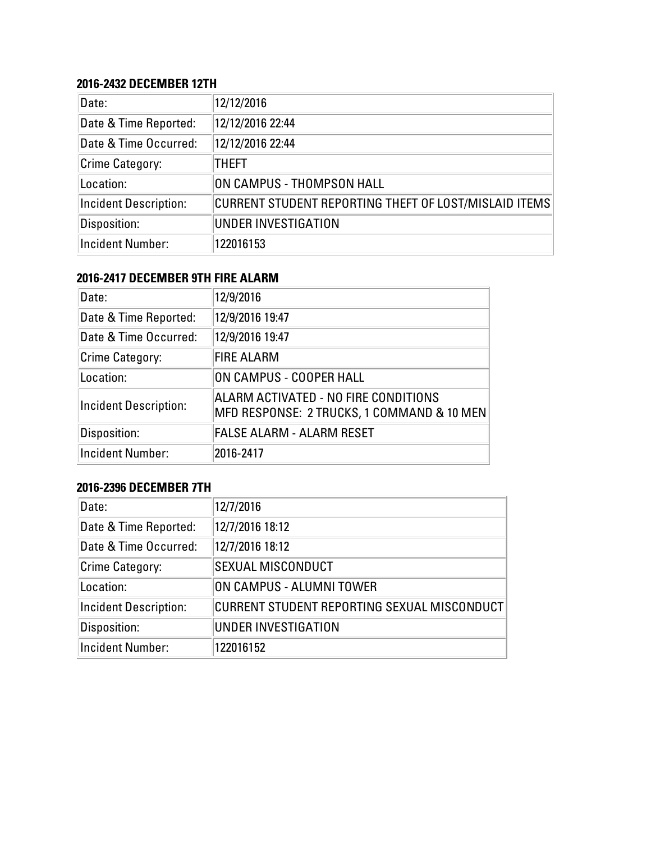#### **2016-2432 DECEMBER 12TH**

| Date:                        | 12/12/2016                                            |
|------------------------------|-------------------------------------------------------|
| Date & Time Reported:        | 12/12/2016 22:44                                      |
| Date & Time Occurred:        | 12/12/2016 22:44                                      |
| Crime Category:              | THEFT                                                 |
| Location:                    | ON CAMPUS - THOMPSON HALL                             |
| <b>Incident Description:</b> | CURRENT STUDENT REPORTING THEFT OF LOST/MISLAID ITEMS |
| Disposition:                 | UNDER INVESTIGATION                                   |
| Incident Number:             | 122016153                                             |

# **2016-2417 DECEMBER 9TH FIRE ALARM**

| Date:                        | 12/9/2016                                                                          |
|------------------------------|------------------------------------------------------------------------------------|
| Date & Time Reported:        | 12/9/2016 19:47                                                                    |
| Date & Time Occurred:        | 12/9/2016 19:47                                                                    |
| <b>Crime Category:</b>       | <b>FIRE ALARM</b>                                                                  |
| Location:                    | ON CAMPUS - COOPER HALL                                                            |
| <b>Incident Description:</b> | ALARM ACTIVATED - NO FIRE CONDITIONS<br>MFD RESPONSE: 2 TRUCKS, 1 COMMAND & 10 MEN |
| Disposition:                 | <b>FALSE ALARM - ALARM RESET</b>                                                   |
| <b>Incident Number:</b>      | 2016-2417                                                                          |

# **2016-2396 DECEMBER 7TH**

| Date:                        | 12/7/2016                                   |
|------------------------------|---------------------------------------------|
| Date & Time Reported:        | 12/7/2016 18:12                             |
| Date & Time Occurred:        | 12/7/2016 18:12                             |
| Crime Category:              | <b>SEXUAL MISCONDUCT</b>                    |
| Location:                    | ON CAMPUS - ALUMNI TOWER                    |
| <b>Incident Description:</b> | CURRENT STUDENT REPORTING SEXUAL MISCONDUCT |
| Disposition:                 | UNDER INVESTIGATION                         |
| <b>Incident Number:</b>      | 122016152                                   |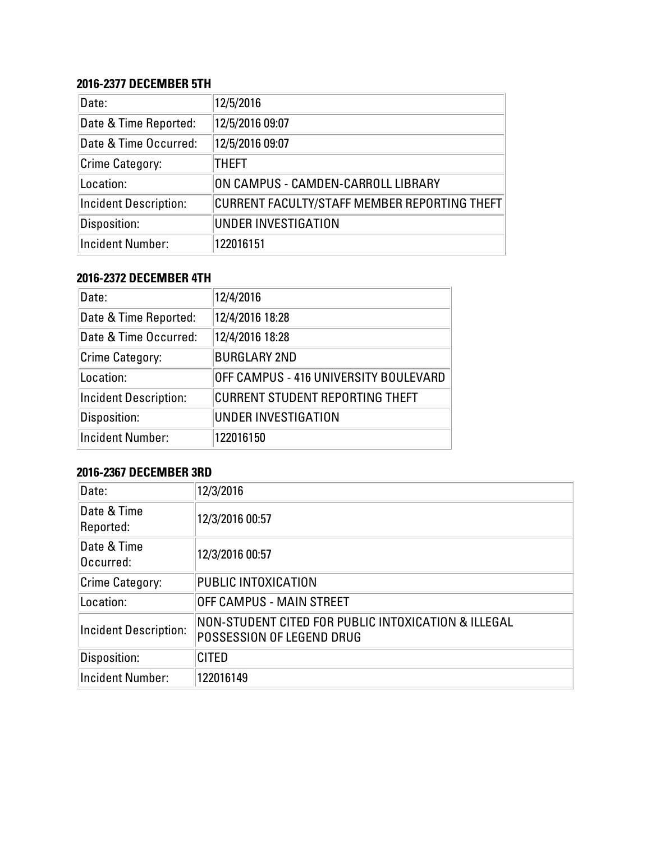## **2016-2377 DECEMBER 5TH**

| Date:                        | 12/5/2016                                    |
|------------------------------|----------------------------------------------|
| Date & Time Reported:        | 12/5/2016 09:07                              |
| Date & Time Occurred:        | 12/5/2016 09:07                              |
| Crime Category:              | THEFT                                        |
| Location:                    | ON CAMPUS - CAMDEN-CARROLL LIBRARY           |
| <b>Incident Description:</b> | CURRENT FACULTY/STAFF MEMBER REPORTING THEFT |
| Disposition:                 | UNDER INVESTIGATION                          |
| Incident Number:             | 122016151                                    |

# **2016-2372 DECEMBER 4TH**

| Date:                        | 12/4/2016                              |
|------------------------------|----------------------------------------|
| Date & Time Reported:        | 12/4/2016 18:28                        |
| Date & Time Occurred:        | 12/4/2016 18:28                        |
| <b>Crime Category:</b>       | <b>BURGLARY 2ND</b>                    |
| Location:                    | OFF CAMPUS - 416 UNIVERSITY BOULEVARD  |
| <b>Incident Description:</b> | <b>CURRENT STUDENT REPORTING THEFT</b> |
| Disposition:                 | UNDER INVESTIGATION                    |
| <b>Incident Number:</b>      | 122016150                              |

# **2016-2367 DECEMBER 3RD**

| Date:                        | 12/3/2016                                                                        |  |
|------------------------------|----------------------------------------------------------------------------------|--|
| Date & Time<br>Reported:     | 12/3/2016 00:57                                                                  |  |
| Date & Time<br>Occurred:     | 12/3/2016 00:57                                                                  |  |
| Crime Category:              | PUBLIC INTOXICATION                                                              |  |
| Location:                    | OFF CAMPUS - MAIN STREET                                                         |  |
| <b>Incident Description:</b> | NON-STUDENT CITED FOR PUBLIC INTOXICATION & ILLEGAL<br>POSSESSION OF LEGEND DRUG |  |
| Disposition:                 | <b>CITED</b>                                                                     |  |
| <b>Incident Number:</b>      | 122016149                                                                        |  |